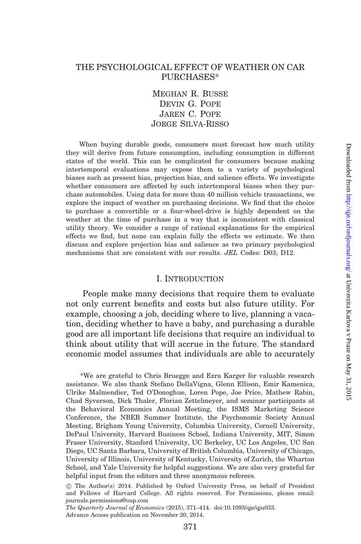# THE PSYCHOLOGICAL EFFECT OF WEATHER ON CAR PURCHASES\*

Meghan R. Busse Devin G. Pope Jaren C. Pope Jorge Silva-Risso

When buying durable goods, consumers must forecast how much utility they will derive from future consumption, including consumption in different states of the world. This can be complicated for consumers because making intertemporal evaluations may expose them to a variety of psychological biases such as present bias, projection bias, and salience effects. We investigate whether consumers are affected by such intertemporal biases when they purchase automobiles. Using data for more than 40 million vehicle transactions, we explore the impact of weather on purchasing decisions. We find that the choice to purchase a convertible or a four-wheel-drive is highly dependent on the weather at the time of purchase in a way that is inconsistent with classical utility theory. We consider a range of rational explanations for the empirical effects we find, but none can explain fully the effects we estimate. We then discuss and explore projection bias and salience as two primary psychological mechanisms that are consistent with our results. JEL Codes: D03; D12.

### I. INTRODUCTION

People make many decisions that require them to evaluate not only current benefits and costs but also future utility. For example, choosing a job, deciding where to live, planning a vacation, deciding whether to have a baby, and purchasing a durable good are all important life decisions that require an individual to think about utility that will accrue in the future. The standard economic model assumes that individuals are able to accurately

\*We are grateful to Chris Bruegge and Ezra Karger for valuable research assistance. We also thank Stefano DellaVigna, Glenn Ellison, Emir Kamenica, Ulrike Malmendier, Ted O'Donoghue, Loren Pope, Joe Price, Mathew Rabin, Chad Syverson, Dick Thaler, Florian Zettelmeyer, and seminar participants at the Behavioral Economics Annual Meeting, the ISMS Marketing Science Conference, the NBER Summer Institute, the Psychonomic Society Annual Meeting, Brigham Young University, Columbia University, Cornell University, DePaul University, Harvard Business School, Indiana University, MIT, Simon Fraser University, Stanford University, UC Berkeley, UC Los Angeles, UC San Diego, UC Santa Barbara, University of British Columbia, University of Chicago, University of Illinois, University of Kentucky, University of Zurich, the Wharton School, and Yale University for helpful suggestions. We are also very grateful for helpful input from the editors and three anonymous referees.

The Quarterly Journal of Economics (2015), 371–414. doi:10.1093/qje/qju033. Advance Access publication on November 20, 2014.

<sup>!</sup> The Author(s) 2014. Published by Oxford University Press, on behalf of President and Fellows of Harvard College. All rights reserved. For Permissions, please email: journals.permissions@oup.com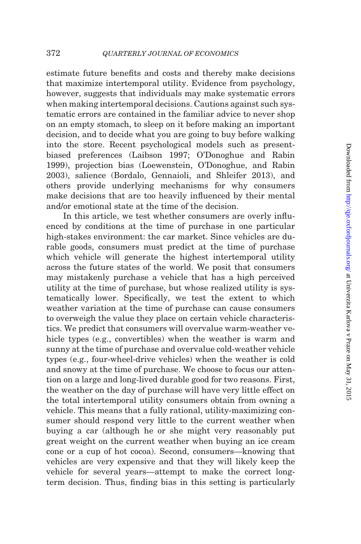estimate future benefits and costs and thereby make decisions that maximize intertemporal utility. Evidence from psychology, however, suggests that individuals may make systematic errors when making intertemporal decisions. Cautions against such systematic errors are contained in the familiar advice to never shop on an empty stomach, to sleep on it before making an important decision, and to decide what you are going to buy before walking into the store. Recent psychological models such as presentbiased preferences [\(Laibson 1997; O'Donoghue and Rabin](#page-42-0) [1999](#page-42-0)), projection bias [\(Loewenstein, O'Donoghue, and Rabin](#page-42-0) [2003](#page-42-0)), salience ([Bordalo, Gennaioli, and Shleifer 2013\)](#page-42-0), and others provide underlying mechanisms for why consumers make decisions that are too heavily influenced by their mental and/or emotional state at the time of the decision.

In this article, we test whether consumers are overly influenced by conditions at the time of purchase in one particular high-stakes environment: the car market. Since vehicles are durable goods, consumers must predict at the time of purchase which vehicle will generate the highest intertemporal utility across the future states of the world. We posit that consumers may mistakenly purchase a vehicle that has a high perceived utility at the time of purchase, but whose realized utility is systematically lower. Specifically, we test the extent to which weather variation at the time of purchase can cause consumers to overweigh the value they place on certain vehicle characteristics. We predict that consumers will overvalue warm-weather vehicle types (e.g., convertibles) when the weather is warm and sunny at the time of purchase and overvalue cold-weather vehicle types (e.g., four-wheel-drive vehicles) when the weather is cold and snowy at the time of purchase. We choose to focus our attention on a large and long-lived durable good for two reasons. First, the weather on the day of purchase will have very little effect on the total intertemporal utility consumers obtain from owning a vehicle. This means that a fully rational, utility-maximizing consumer should respond very little to the current weather when buying a car (although he or she might very reasonably put great weight on the current weather when buying an ice cream cone or a cup of hot cocoa). Second, consumers—knowing that vehicles are very expensive and that they will likely keep the vehicle for several years—attempt to make the correct longterm decision. Thus, finding bias in this setting is particularly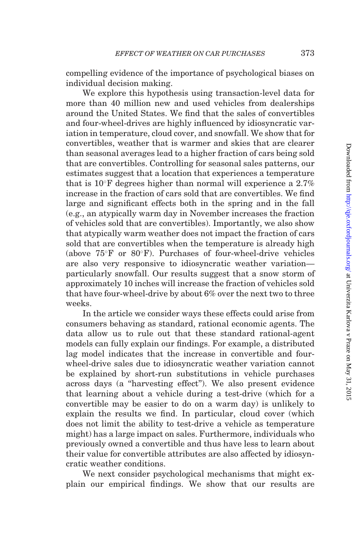compelling evidence of the importance of psychological biases on individual decision making.

We explore this hypothesis using transaction-level data for more than 40 million new and used vehicles from dealerships around the United States. We find that the sales of convertibles and four-wheel-drives are highly influenced by idiosyncratic variation in temperature, cloud cover, and snowfall. We show that for convertibles, weather that is warmer and skies that are clearer than seasonal averages lead to a higher fraction of cars being sold that are convertibles. Controlling for seasonal sales patterns, our estimates suggest that a location that experiences a temperature that is  $10^{\circ}$ F degrees higher than normal will experience a 2.7% increase in the fraction of cars sold that are convertibles. We find large and significant effects both in the spring and in the fall (e.g., an atypically warm day in November increases the fraction of vehicles sold that are convertibles). Importantly, we also show that atypically warm weather does not impact the fraction of cars sold that are convertibles when the temperature is already high (above  $75^{\circ}$ F or  $80^{\circ}$ F). Purchases of four-wheel-drive vehicles are also very responsive to idiosyncratic weather variation particularly snowfall. Our results suggest that a snow storm of approximately 10 inches will increase the fraction of vehicles sold that have four-wheel-drive by about 6% over the next two to three weeks.

In the article we consider ways these effects could arise from consumers behaving as standard, rational economic agents. The data allow us to rule out that these standard rational-agent models can fully explain our findings. For example, a distributed lag model indicates that the increase in convertible and fourwheel-drive sales due to idiosyncratic weather variation cannot be explained by short-run substitutions in vehicle purchases across days (a ''harvesting effect''). We also present evidence that learning about a vehicle during a test-drive (which for a convertible may be easier to do on a warm day) is unlikely to explain the results we find. In particular, cloud cover (which does not limit the ability to test-drive a vehicle as temperature might) has a large impact on sales. Furthermore, individuals who previously owned a convertible and thus have less to learn about their value for convertible attributes are also affected by idiosyncratic weather conditions.

We next consider psychological mechanisms that might explain our empirical findings. We show that our results are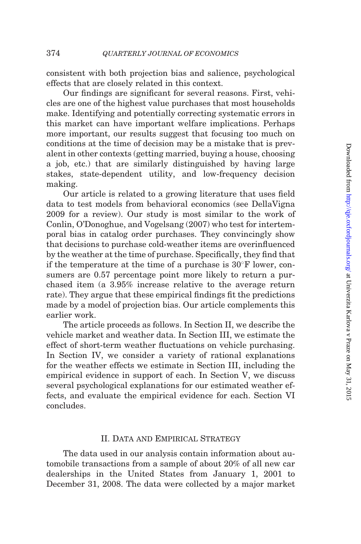consistent with both projection bias and salience, psychological effects that are closely related in this context.

Our findings are significant for several reasons. First, vehicles are one of the highest value purchases that most households make. Identifying and potentially correcting systematic errors in this market can have important welfare implications. Perhaps more important, our results suggest that focusing too much on conditions at the time of decision may be a mistake that is prevalent in other contexts (getting married, buying a house, choosing a job, etc.) that are similarly distinguished by having large stakes, state-dependent utility, and low-frequency decision making.

Our article is related to a growing literature that uses field data to test models from behavioral economics (see [DellaVigna](#page-42-0) [2009](#page-42-0) for a review). Our study is most similar to the work of [Conlin, O'Donoghue, and Vogelsang \(2007\)](#page-42-0) who test for intertemporal bias in catalog order purchases. They convincingly show that decisions to purchase cold-weather items are overinfluenced by the weather at the time of purchase. Specifically, they find that if the temperature at the time of a purchase is  $30^{\circ}$ F lower, consumers are 0.57 percentage point more likely to return a purchased item (a 3.95% increase relative to the average return rate). They argue that these empirical findings fit the predictions made by a model of projection bias. Our article complements this earlier work.

The article proceeds as follows. In Section II, we describe the vehicle market and weather data. In Section III, we estimate the effect of short-term weather fluctuations on vehicle purchasing. In Section IV, we consider a variety of rational explanations for the weather effects we estimate in Section III, including the empirical evidence in support of each. In Section V, we discuss several psychological explanations for our estimated weather effects, and evaluate the empirical evidence for each. Section VI concludes.

### II. Data and Empirical Strategy

The data used in our analysis contain information about automobile transactions from a sample of about 20% of all new car dealerships in the United States from January 1, 2001 to December 31, 2008. The data were collected by a major market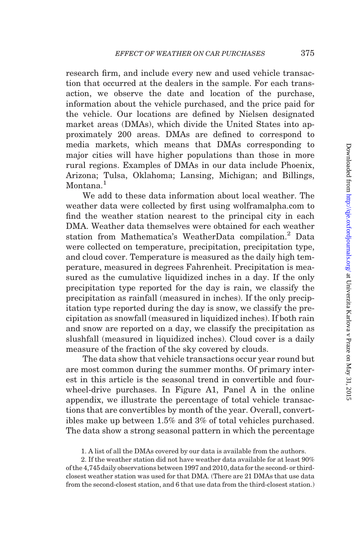research firm, and include every new and used vehicle transaction that occurred at the dealers in the sample. For each transaction, we observe the date and location of the purchase, information about the vehicle purchased, and the price paid for the vehicle. Our locations are defined by Nielsen designated market areas (DMAs), which divide the United States into approximately 200 areas. DMAs are defined to correspond to media markets, which means that DMAs corresponding to major cities will have higher populations than those in more rural regions. Examples of DMAs in our data include Phoenix, Arizona; Tulsa, Oklahoma; Lansing, Michigan; and Billings, Montana.<sup>1</sup>

We add to these data information about local weather. The weather data were collected by first using [wolframalpha.com](http://www.wolframalpha.com) to find the weather station nearest to the principal city in each DMA. Weather data themselves were obtained for each weather station from Mathematica's WeatherData compilation.<sup>2</sup> Data were collected on temperature, precipitation, precipitation type, and cloud cover. Temperature is measured as the daily high temperature, measured in degrees Fahrenheit. Precipitation is measured as the cumulative liquidized inches in a day. If the only precipitation type reported for the day is rain, we classify the precipitation as rainfall (measured in inches). If the only precipitation type reported during the day is snow, we classify the precipitation as snowfall (measured in liquidized inches). If both rain and snow are reported on a day, we classify the precipitation as slushfall (measured in liquidized inches). Cloud cover is a daily measure of the fraction of the sky covered by clouds.

The data show that vehicle transactions occur year round but are most common during the summer months. Of primary interest in this article is the seasonal trend in convertible and fourwheel-drive purchases. In [Figure A1](http://qje.oxfordjournals.org/lookup/suppl/doi:10.1093/qje/qju033/-/DC1), Panel A in the [online](http://qje.oxfordjournals.org/lookup/suppl/doi:10.1093/qje/qju033/-/DC1) [appendix,](http://qje.oxfordjournals.org/lookup/suppl/doi:10.1093/qje/qju033/-/DC1) we illustrate the percentage of total vehicle transactions that are convertibles by month of the year. Overall, convertibles make up between 1.5% and 3% of total vehicles purchased. The data show a strong seasonal pattern in which the percentage

1. A list of all the DMAs covered by our data is available from the authors.

2. If the weather station did not have weather data available for at least 90% of the 4,745 daily observations between 1997 and 2010, data for the second- or thirdclosest weather station was used for that DMA. (There are 21 DMAs that use data from the second-closest station, and 6 that use data from the third-closest station.)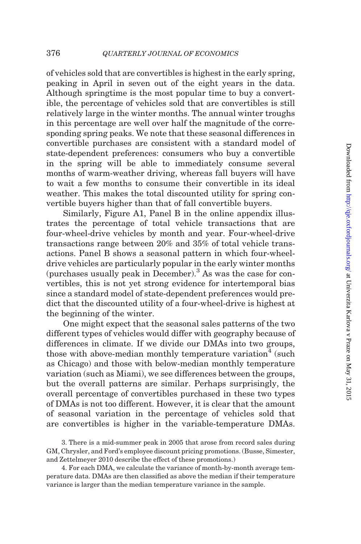of vehicles sold that are convertibles is highest in the early spring, peaking in April in seven out of the eight years in the data. Although springtime is the most popular time to buy a convertible, the percentage of vehicles sold that are convertibles is still relatively large in the winter months. The annual winter troughs in this percentage are well over half the magnitude of the corresponding spring peaks. We note that these seasonal differences in convertible purchases are consistent with a standard model of state-dependent preferences: consumers who buy a convertible in the spring will be able to immediately consume several months of warm-weather driving, whereas fall buyers will have to wait a few months to consume their convertible in its ideal weather. This makes the total discounted utility for spring convertible buyers higher than that of fall convertible buyers.

Similarly, [Figure A1,](http://qje.oxfordjournals.org/lookup/suppl/doi:10.1093/qje/qju033/-/DC1) Panel B in the [online appendix](http://qje.oxfordjournals.org/lookup/suppl/doi:10.1093/qje/qju033/-/DC1) illustrates the percentage of total vehicle transactions that are four-wheel-drive vehicles by month and year. Four-wheel-drive transactions range between 20% and 35% of total vehicle transactions. Panel B shows a seasonal pattern in which four-wheeldrive vehicles are particularly popular in the early winter months (purchases usually peak in December). $3$  As was the case for convertibles, this is not yet strong evidence for intertemporal bias since a standard model of state-dependent preferences would predict that the discounted utility of a four-wheel-drive is highest at the beginning of the winter.

One might expect that the seasonal sales patterns of the two different types of vehicles would differ with geography because of differences in climate. If we divide our DMAs into two groups, those with above-median monthly temperature variation<sup>4</sup> (such as Chicago) and those with below-median monthly temperature variation (such as Miami), we see differences between the groups, but the overall patterns are similar. Perhaps surprisingly, the overall percentage of convertibles purchased in these two types of DMAs is not too different. However, it is clear that the amount of seasonal variation in the percentage of vehicles sold that are convertibles is higher in the variable-temperature DMAs.

3. There is a mid-summer peak in 2005 that arose from record sales during GM, Chrysler, and Ford's employee discount pricing promotions. ([Busse, Simester,](#page-42-0) [and Zettelmeyer 2010](#page-42-0) describe the effect of these promotions.)

4. For each DMA, we calculate the variance of month-by-month average temperature data. DMAs are then classified as above the median if their temperature variance is larger than the median temperature variance in the sample.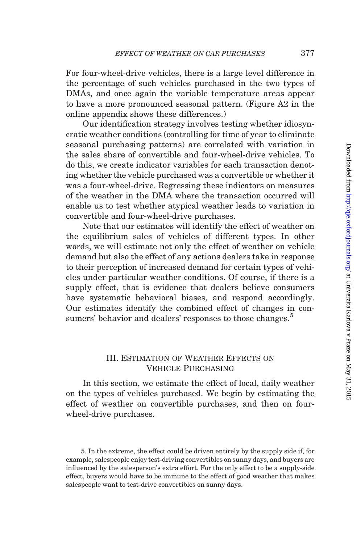For four-wheel-drive vehicles, there is a large level difference in the percentage of such vehicles purchased in the two types of DMAs, and once again the variable temperature areas appear to have a more pronounced seasonal pattern. [\(Figure A2](http://qje.oxfordjournals.org/lookup/suppl/doi:10.1093/qje/qju033/-/DC1) in the [online appendix](http://qje.oxfordjournals.org/lookup/suppl/doi:10.1093/qje/qju033/-/DC1) shows these differences.)

Our identification strategy involves testing whether idiosyncratic weather conditions (controlling for time of year to eliminate seasonal purchasing patterns) are correlated with variation in the sales share of convertible and four-wheel-drive vehicles. To do this, we create indicator variables for each transaction denoting whether the vehicle purchased was a convertible or whether it was a four-wheel-drive. Regressing these indicators on measures of the weather in the DMA where the transaction occurred will enable us to test whether atypical weather leads to variation in convertible and four-wheel-drive purchases.

Note that our estimates will identify the effect of weather on the equilibrium sales of vehicles of different types. In other words, we will estimate not only the effect of weather on vehicle demand but also the effect of any actions dealers take in response to their perception of increased demand for certain types of vehicles under particular weather conditions. Of course, if there is a supply effect, that is evidence that dealers believe consumers have systematic behavioral biases, and respond accordingly. Our estimates identify the combined effect of changes in consumers' behavior and dealers' responses to those changes.<sup>5</sup>

# III. Estimation of Weather Effects on Vehicle Purchasing

In this section, we estimate the effect of local, daily weather on the types of vehicles purchased. We begin by estimating the effect of weather on convertible purchases, and then on fourwheel-drive purchases.

<sup>5.</sup> In the extreme, the effect could be driven entirely by the supply side if, for example, salespeople enjoy test-driving convertibles on sunny days, and buyers are influenced by the salesperson's extra effort. For the only effect to be a supply-side effect, buyers would have to be immune to the effect of good weather that makes salespeople want to test-drive convertibles on sunny days.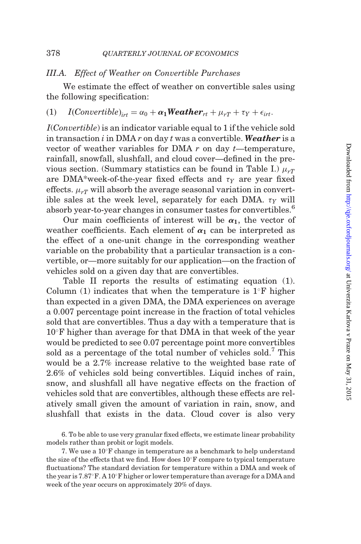## <span id="page-7-0"></span>III.A. Effect of Weather on Convertible Purchases

We estimate the effect of weather on convertible sales using the following specification:

(1) 
$$
I(Convertible)_{irt} = \alpha_0 + \alpha_1 Weather_{rt} + \mu_{rT} + \tau_Y + \epsilon_{irt}
$$
.

I(Convertible) is an indicator variable equal to 1 if the vehicle sold in transaction i in DMA r on day t was a convertible. Weather is a vector of weather variables for DMA  $r$  on day  $t$ —temperature, rainfall, snowfall, slushfall, and cloud cover—defined in the pre-vious section. (Summary statistics can be found in [Table I](#page-8-0).)  $\mu_{\nu}$ are DMA\*week-of-the-year fixed effects and  $\tau_Y$  are year fixed effects.  $\mu_{rT}$  will absorb the average seasonal variation in convertible sales at the week level, separately for each DMA.  $\tau_Y$  will absorb year-to-year changes in consumer tastes for convertibles.<sup>6</sup>

Our main coefficients of interest will be  $\alpha_1$ , the vector of weather coefficients. Each element of  $\alpha_1$  can be interpreted as the effect of a one-unit change in the corresponding weather variable on the probability that a particular transaction is a convertible, or—more suitably for our application—on the fraction of vehicles sold on a given day that are convertibles.

[Table II](#page-8-0) reports the results of estimating equation (1). Column (1) indicates that when the temperature is  $1^{\circ}$ F higher than expected in a given DMA, the DMA experiences on average a 0.007 percentage point increase in the fraction of total vehicles sold that are convertibles. Thus a day with a temperature that is 10°F higher than average for that DMA in that week of the year would be predicted to see 0.07 percentage point more convertibles sold as a percentage of the total number of vehicles sold.<sup>7</sup> This would be a 2.7% increase relative to the weighted base rate of 2.6% of vehicles sold being convertibles. Liquid inches of rain, snow, and slushfall all have negative effects on the fraction of vehicles sold that are convertibles, although these effects are relatively small given the amount of variation in rain, snow, and slushfall that exists in the data. Cloud cover is also very

<sup>6.</sup> To be able to use very granular fixed effects, we estimate linear probability models rather than probit or logit models.

<sup>7.</sup> We use a 10-F change in temperature as a benchmark to help understand the size of the effects that we find. How does  $10^{\circ}$  F compare to typical temperature fluctuations? The standard deviation for temperature within a DMA and week of the year is 7.87°F. A 10°F higher or lower temperature than average for a DMA and week of the year occurs on approximately 20% of days.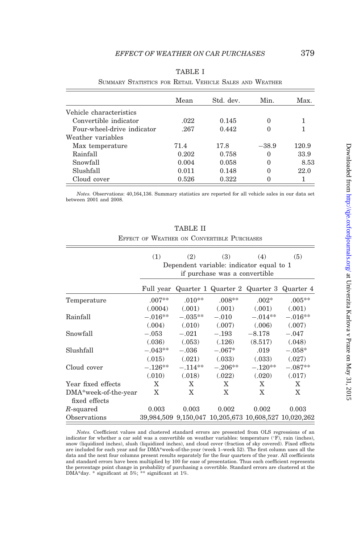<span id="page-8-0"></span>

|                            | Mean  | Std. dev. | Min.     | Max.  |
|----------------------------|-------|-----------|----------|-------|
| Vehicle characteristics    |       |           |          |       |
| Convertible indicator      | .022  | 0.145     | 0        |       |
| Four-wheel-drive indicator | .267  | 0.442     |          |       |
| Weather variables          |       |           |          |       |
| Max temperature            | 71.4  | 17.8      | $-38.9$  | 120.9 |
| Rainfall                   | 0.202 | 0.758     | 0        | 33.9  |
| Snowfall                   | 0.004 | 0.058     | $\Omega$ | 8.53  |
| Slushfall                  | 0.011 | 0.148     | 0        | 22.0  |
| Cloud cover                | 0.526 | 0.322     |          |       |

|                                                         | TABLE I |  |  |
|---------------------------------------------------------|---------|--|--|
| SUMMARY STATISTICS FOR RETAIL VEHICLE SALES AND WEATHER |         |  |  |

Notes. Observations: 40,164,136. Summary statistics are reported for all vehicle sales in our data set between 2001 and 2008.

|                      | (1)       | (2)                                      | (3)                                                   | (4)       | (5)       |  |  |  |
|----------------------|-----------|------------------------------------------|-------------------------------------------------------|-----------|-----------|--|--|--|
|                      |           | Dependent variable: indicator equal to 1 |                                                       |           |           |  |  |  |
|                      |           |                                          | if purchase was a convertible                         |           |           |  |  |  |
|                      |           |                                          | Full year Quarter 1 Quarter 2 Quarter 3 Quarter 4     |           |           |  |  |  |
| Temperature          | $.007**$  | $.010**$                                 | $.008**$                                              | $.002*$   | $.005**$  |  |  |  |
|                      | (.0004)   | (.001)                                   | (.001)                                                | (.001)    | (.001)    |  |  |  |
| Rainfall             | $-.016**$ | $-.035**$                                | $-.010$                                               | $-.014**$ | $-.016**$ |  |  |  |
|                      | (.004)    | (.010)                                   | (.007)                                                | (.006)    | (.007)    |  |  |  |
| Snowfall             | $-.053$   | $-.021$                                  | $-.193$                                               | $-8.178$  | $-.047$   |  |  |  |
|                      | (.036)    | (.053)                                   | (.126)                                                | (8.517)   | (.048)    |  |  |  |
| Slushfall            | $-.043**$ | $-.036$                                  | $-.067*$                                              | .019      | $-.058*$  |  |  |  |
|                      | (.015)    | (.021)                                   | (.033)                                                | (.033)    | (.027)    |  |  |  |
| Cloud cover          | $-.126**$ | $-.114**$                                | $-.206**$                                             | $-.120**$ | $-.087**$ |  |  |  |
|                      | (.010)    | (.018)                                   | (.022)                                                | (.020)    | (.017)    |  |  |  |
| Year fixed effects   | X         | X                                        | X                                                     | X         | X         |  |  |  |
| DMA*week-of-the-year | X         | X                                        | X                                                     | X         | X         |  |  |  |
| fixed effects        |           |                                          |                                                       |           |           |  |  |  |
| $R$ -squared         | 0.003     | 0.003                                    | 0.002                                                 | 0.002     | 0.003     |  |  |  |
| Observations         |           |                                          | 39,984,509 9,150,047 10,205,673 10,608,527 10,020,262 |           |           |  |  |  |

TABLE II EFFECT OF WEATHER ON CONVERTIBLE PURCHASES

Notes. Coefficient values and clustered standard errors are presented from OLS regressions of an indicator for whether a car sold was a convertible on weather variables: temperature  $(°F)$ , rain (inches), snow (liquidized inches), slush (liquidized inches), and cloud cover (fraction of sky covered). Fixed effects are included for each year and for DMA\*week-of-the-year (week 1–week 52). The first column uses all the data and the next four columns present results separately for the four quarters of the year. All coefficients and standard errors have been multiplied by 100 for ease of presentation. Thus each coefficient represents the percentage point change in probability of purchasing a covertible. Standard errors are clustered at the DMA\*day. \* significant at 5%; \*\* significant at 1%.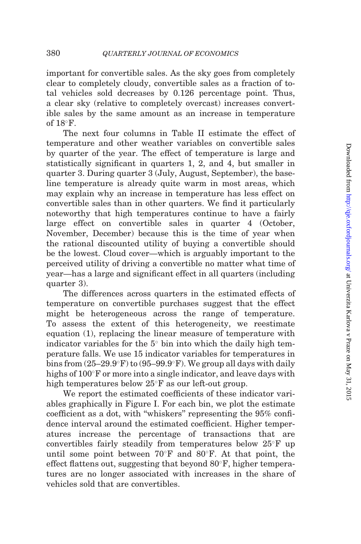important for convertible sales. As the sky goes from completely clear to completely cloudy, convertible sales as a fraction of total vehicles sold decreases by 0.126 percentage point. Thus, a clear sky (relative to completely overcast) increases convertible sales by the same amount as an increase in temperature of  $18^{\circ}$ F.

The next four columns in [Table II](#page-8-0) estimate the effect of temperature and other weather variables on convertible sales by quarter of the year. The effect of temperature is large and statistically significant in quarters 1, 2, and 4, but smaller in quarter 3. During quarter 3 (July, August, September), the baseline temperature is already quite warm in most areas, which may explain why an increase in temperature has less effect on convertible sales than in other quarters. We find it particularly noteworthy that high temperatures continue to have a fairly large effect on convertible sales in quarter 4 (October, November, December) because this is the time of year when the rational discounted utility of buying a convertible should be the lowest. Cloud cover—which is arguably important to the perceived utility of driving a convertible no matter what time of year—has a large and significant effect in all quarters (including quarter 3).

The differences across quarters in the estimated effects of temperature on convertible purchases suggest that the effect might be heterogeneous across the range of temperature. To assess the extent of this heterogeneity, we reestimate [equation \(1\),](#page-7-0) replacing the linear measure of temperature with indicator variables for the  $5^{\circ}$  bin into which the daily high temperature falls. We use 15 indicator variables for temperatures in bins from  $(25-29.9\textdegree F)$  to  $(95-99.9\textdegree F)$ . We group all days with daily highs of 100°F or more into a single indicator, and leave days with high temperatures below  $25^{\circ}$ F as our left-out group.

We report the estimated coefficients of these indicator variables graphically in [Figure I.](#page-10-0) For each bin, we plot the estimate coefficient as a dot, with ''whiskers'' representing the 95% confidence interval around the estimated coefficient. Higher temperatures increase the percentage of transactions that are convertibles fairly steadily from temperatures below  $25^{\circ}$ F up until some point between  $70^{\circ}$ F and  $80^{\circ}$ F. At that point, the effect flattens out, suggesting that beyond 80°F, higher temperatures are no longer associated with increases in the share of vehicles sold that are convertibles.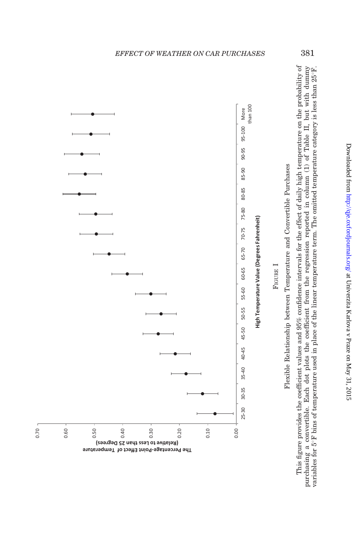This figure provides the coefficient values and 95% confidence intervals for the effect of daily high temperature on the probability of purchasing a convertible. Each dot plots the coefficient from the regression reported in column (1) of Table II, but with dummy variables for  $S^p$  bins of temperature used in place of the linear temperature term. The omi This figure provides the coefficient values and 95% confidence intervals for the effect of daily high temperature on the probability of purchasing a convertible. Each dot plots the coefficient from the regression reported in column (1) of [Table](#page-8-0) II, but with dummy F bins of temperature used in place of the linear temperature term. The omitted temperature category is less than 25variables for 5-



<span id="page-10-0"></span>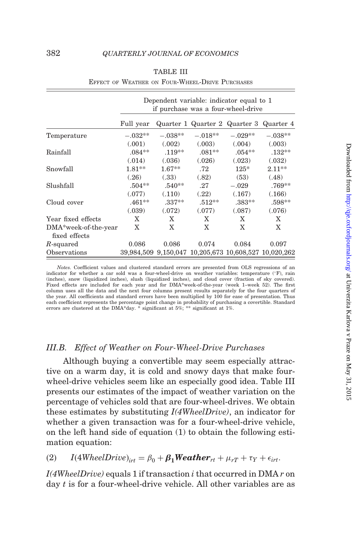<span id="page-11-0"></span>

|                      | Dependent variable: indicator equal to 1<br>if purchase was a four-wheel-drive |           |                                                       |           |           |  |
|----------------------|--------------------------------------------------------------------------------|-----------|-------------------------------------------------------|-----------|-----------|--|
|                      | Full year                                                                      |           | Quarter 1 Quarter 2 Quarter 3 Quarter 4               |           |           |  |
| Temperature          | $-.032**$                                                                      | $-.038**$ | $-.018**$                                             | $-.029**$ | $-.038**$ |  |
|                      | (.001)                                                                         | (.002)    | (.003)                                                | (.004)    | (.003)    |  |
| Rainfall             | $.084**$                                                                       | $.119**$  | $.081**$                                              | $.054***$ | $.132**$  |  |
|                      | (.014)                                                                         | (.036)    | (.026)                                                | (.023)    | (.032)    |  |
| Snowfall             | $1.81**$                                                                       | $1.67**$  | .72                                                   | $125*$    | $2.11**$  |  |
|                      | (.26)                                                                          | (.33)     | (.82)                                                 | (53)      | (.48)     |  |
| Slushfall            | $.504**$                                                                       | $.540**$  | .27                                                   | $-.029$   | $.769**$  |  |
|                      | (.077)                                                                         | (.110)    | (.22)                                                 | (.167)    | (.166)    |  |
| Cloud cover          | $.461**$                                                                       | $.337**$  | $.512**$                                              | $.383**$  | $.598**$  |  |
|                      | (.039)                                                                         | (.072)    | (.077)                                                | (.087)    | (.076)    |  |
| Year fixed effects   | X                                                                              | X         | X                                                     | X         | X         |  |
| DMA*week-of-the-year | X                                                                              | X         | X                                                     | X         | X         |  |
| fixed effects        |                                                                                |           |                                                       |           |           |  |
| $R$ -squared         | 0.086                                                                          | 0.086     | 0.074                                                 | 0.084     | 0.097     |  |
| Observations         |                                                                                |           | 39,984,509 9,150,047 10,205,673 10,608,527 10,020,262 |           |           |  |

| Г<br>ъ |  |
|--------|--|
|--------|--|

EFFECT OF WEATHER ON FOUR-WHEEL-DRIVE PURCHASES

Notes. Coefficient values and clustered standard errors are presented from OLS regressions of an indicator for whether a car sold was a four-wheel-drive on weather variables: temperature (F), rain (inches), snow (liquidized inches), slush (liquidized inches), and cloud cover (fraction of sky covered). Fixed effects are included for each year and for DMA\*week-of-the-year (week 1–week 52). The first column uses all the data and the next four columns present results separately for the four quarters of the year. All coefficients and standard errors have been multiplied by 100 for ease of presentation. Thus each coefficient represents the percentage point change in probability of purchasing a covertible. Standard errors are clustered at the DMA\*day. \* significant at 5%; \*\* significant at 1%.

# III.B. Effect of Weather on Four-Wheel-Drive Purchases

Although buying a convertible may seem especially attractive on a warm day, it is cold and snowy days that make fourwheel-drive vehicles seem like an especially good idea. Table III presents our estimates of the impact of weather variation on the percentage of vehicles sold that are four-wheel-drives. We obtain these estimates by substituting I(4WheelDrive), an indicator for whether a given transaction was for a four-wheel-drive vehicle, on the left hand side of [equation \(1\)](#page-7-0) to obtain the following estimation equation:

(2) I(4WheelDrive)<sub>irt</sub> =  $\beta_0 + \beta_1$ Weather<sub>rt</sub> +  $\mu_{rT}$  +  $\tau_Y$  +  $\epsilon_{irt}$ .

 $I(4Wheel Drive)$  equals 1 if transaction *i* that occurred in DMA r on day  $t$  is for a four-wheel-drive vehicle. All other variables are as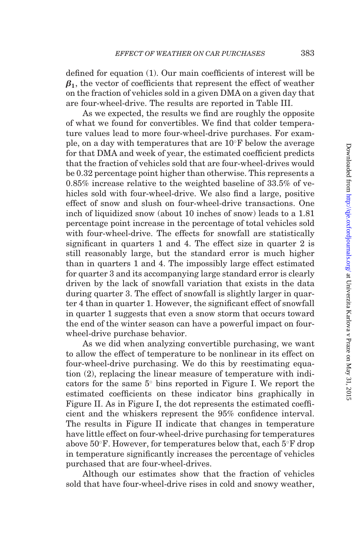defined for [equation \(1\).](#page-7-0) Our main coefficients of interest will be  $\beta_1$ , the vector of coefficients that represent the effect of weather on the fraction of vehicles sold in a given DMA on a given day that are four-wheel-drive. The results are reported in [Table III](#page-11-0).

As we expected, the results we find are roughly the opposite of what we found for convertibles. We find that colder temperature values lead to more four-wheel-drive purchases. For example, on a day with temperatures that are  $10^{\circ}$ F below the average for that DMA and week of year, the estimated coefficient predicts that the fraction of vehicles sold that are four-wheel-drives would be 0.32 percentage point higher than otherwise. This represents a 0.85% increase relative to the weighted baseline of 33.5% of vehicles sold with four-wheel-drive. We also find a large, positive effect of snow and slush on four-wheel-drive transactions. One inch of liquidized snow (about 10 inches of snow) leads to a 1.81 percentage point increase in the percentage of total vehicles sold with four-wheel-drive. The effects for snowfall are statistically significant in quarters 1 and 4. The effect size in quarter 2 is still reasonably large, but the standard error is much higher than in quarters 1 and 4. The impossibly large effect estimated for quarter 3 and its accompanying large standard error is clearly driven by the lack of snowfall variation that exists in the data during quarter 3. The effect of snowfall is slightly larger in quarter 4 than in quarter 1. However, the significant effect of snowfall in quarter 1 suggests that even a snow storm that occurs toward the end of the winter season can have a powerful impact on fourwheel-drive purchase behavior.

As we did when analyzing convertible purchasing, we want to allow the effect of temperature to be nonlinear in its effect on four-wheel-drive purchasing. We do this by reestimating [equa](#page-11-0)[tion \(2\)](#page-11-0), replacing the linear measure of temperature with indicators for the same  $5^{\circ}$  bins reported in [Figure I](#page-10-0). We report the estimated coefficients on these indicator bins graphically in [Figure II](#page-13-0). As in [Figure I](#page-10-0), the dot represents the estimated coefficient and the whiskers represent the 95% confidence interval. The results in [Figure II](#page-13-0) indicate that changes in temperature have little effect on four-wheel-drive purchasing for temperatures above 50°F. However, for temperatures below that, each 5°F drop in temperature significantly increases the percentage of vehicles purchased that are four-wheel-drives.

Although our estimates show that the fraction of vehicles sold that have four-wheel-drive rises in cold and snowy weather,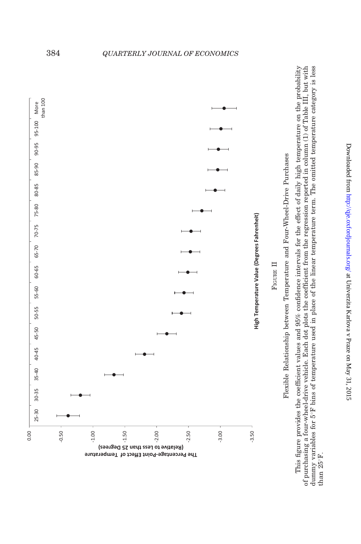



Downloaded from <http://qje.oxfordjournals.org/> at Univerzita Karlova v Praze on May 31, 2015

Downloaded from http://qje.oxfordjournals.org/ at Univerzita Karlova v Praze on May 31, 2015

<span id="page-13-0"></span>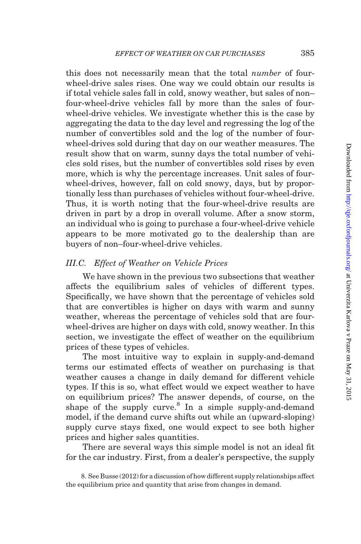this does not necessarily mean that the total number of fourwheel-drive sales rises. One way we could obtain our results is if total vehicle sales fall in cold, snowy weather, but sales of non– four-wheel-drive vehicles fall by more than the sales of fourwheel-drive vehicles. We investigate whether this is the case by aggregating the data to the day level and regressing the log of the number of convertibles sold and the log of the number of fourwheel-drives sold during that day on our weather measures. The result show that on warm, sunny days the total number of vehicles sold rises, but the number of convertibles sold rises by even more, which is why the percentage increases. Unit sales of fourwheel-drives, however, fall on cold snowy, days, but by proportionally less than purchases of vehicles without four-wheel-drive. Thus, it is worth noting that the four-wheel-drive results are driven in part by a drop in overall volume. After a snow storm, an individual who is going to purchase a four-wheel-drive vehicle appears to be more motivated go to the dealership than are buyers of non–four-wheel-drive vehicles.

# III.C. Effect of Weather on Vehicle Prices

We have shown in the previous two subsections that weather affects the equilibrium sales of vehicles of different types. Specifically, we have shown that the percentage of vehicles sold that are convertibles is higher on days with warm and sunny weather, whereas the percentage of vehicles sold that are fourwheel-drives are higher on days with cold, snowy weather. In this section, we investigate the effect of weather on the equilibrium prices of these types of vehicles.

The most intuitive way to explain in supply-and-demand terms our estimated effects of weather on purchasing is that weather causes a change in daily demand for different vehicle types. If this is so, what effect would we expect weather to have on equilibrium prices? The answer depends, of course, on the shape of the supply curve.<sup>8</sup> In a simple supply-and-demand model, if the demand curve shifts out while an (upward-sloping) supply curve stays fixed, one would expect to see both higher prices and higher sales quantities.

There are several ways this simple model is not an ideal fit for the car industry. First, from a dealer's perspective, the supply

<sup>8.</sup> See [Busse \(2012\)](#page-42-0) for a discussion of how different supply relationships affect the equilibrium price and quantity that arise from changes in demand.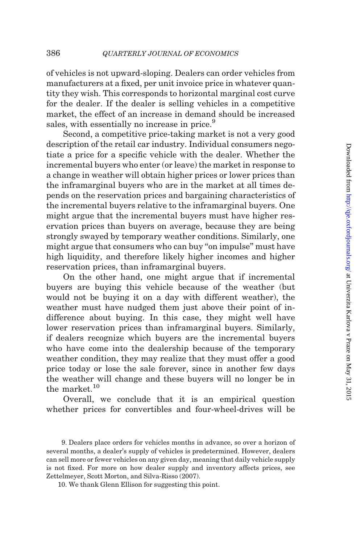of vehicles is not upward-sloping. Dealers can order vehicles from manufacturers at a fixed, per unit invoice price in whatever quantity they wish. This corresponds to horizontal marginal cost curve for the dealer. If the dealer is selling vehicles in a competitive market, the effect of an increase in demand should be increased sales, with essentially no increase in price.<sup>9</sup>

Second, a competitive price-taking market is not a very good description of the retail car industry. Individual consumers negotiate a price for a specific vehicle with the dealer. Whether the incremental buyers who enter (or leave) the market in response to a change in weather will obtain higher prices or lower prices than the inframarginal buyers who are in the market at all times depends on the reservation prices and bargaining characteristics of the incremental buyers relative to the inframarginal buyers. One might argue that the incremental buyers must have higher reservation prices than buyers on average, because they are being strongly swayed by temporary weather conditions. Similarly, one might argue that consumers who can buy "on impulse" must have high liquidity, and therefore likely higher incomes and higher reservation prices, than inframarginal buyers.

On the other hand, one might argue that if incremental buyers are buying this vehicle because of the weather (but would not be buying it on a day with different weather), the weather must have nudged them just above their point of indifference about buying. In this case, they might well have lower reservation prices than inframarginal buyers. Similarly, if dealers recognize which buyers are the incremental buyers who have come into the dealership because of the temporary weather condition, they may realize that they must offer a good price today or lose the sale forever, since in another few days the weather will change and these buyers will no longer be in the market.<sup>10</sup>

Overall, we conclude that it is an empirical question whether prices for convertibles and four-wheel-drives will be

<sup>9.</sup> Dealers place orders for vehicles months in advance, so over a horizon of several months, a dealer's supply of vehicles is predetermined. However, dealers can sell more or fewer vehicles on any given day, meaning that daily vehicle supply is not fixed. For more on how dealer supply and inventory affects prices, see [Zettelmeyer, Scott Morton, and Silva-Risso \(2007\)](#page-43-0).

<sup>10.</sup> We thank Glenn Ellison for suggesting this point.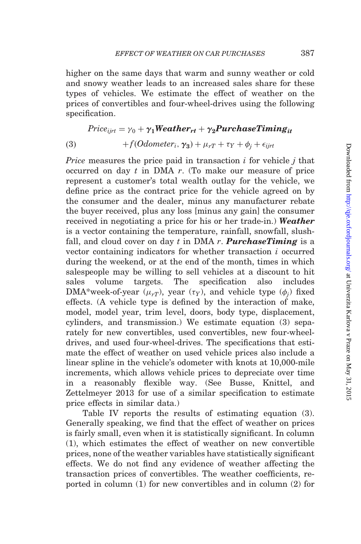higher on the same days that warm and sunny weather or cold and snowy weather leads to an increased sales share for these types of vehicles. We estimate the effect of weather on the prices of convertibles and four-wheel-drives using the following specification.

$$
Price_{ijrt} = \gamma_0 + \gamma_1 Weather_{rt} + \gamma_2 PurebaseTiming_{it}
$$
\n
$$
(3) \qquad \qquad + f(Odometer_i, \gamma_3) + \mu_{rT} + \tau_Y + \phi_j + \epsilon_{ijrt}
$$

*Price* measures the price paid in transaction  $i$  for vehicle  $j$  that occurred on day  $t$  in DMA  $r$ . (To make our measure of price represent a customer's total wealth outlay for the vehicle, we define price as the contract price for the vehicle agreed on by the consumer and the dealer, minus any manufacturer rebate the buyer received, plus any loss [minus any gain] the consumer received in negotiating a price for his or her trade-in.) Weather is a vector containing the temperature, rainfall, snowfall, slushfall, and cloud cover on day  $t$  in DMA r. **PurchaseTiming** is a vector containing indicators for whether transaction  $i$  occurred during the weekend, or at the end of the month, times in which salespeople may be willing to sell vehicles at a discount to hit sales volume targets. The specification also includes DMA\*week-of-year  $(\mu_{rT})$ , year  $(\tau_Y)$ , and vehicle type  $(\phi_i)$  fixed effects. (A vehicle type is defined by the interaction of make, model, model year, trim level, doors, body type, displacement, cylinders, and transmission.) We estimate equation (3) separately for new convertibles, used convertibles, new four-wheeldrives, and used four-wheel-drives. The specifications that estimate the effect of weather on used vehicle prices also include a linear spline in the vehicle's odometer with knots at 10,000-mile increments, which allows vehicle prices to depreciate over time in a reasonably flexible way. (See [Busse, Knittel, and](#page-42-0) [Zettelmeyer 2013](#page-42-0) for use of a similar specification to estimate price effects in similar data.)

[Table IV](#page-17-0) reports the results of estimating equation (3). Generally speaking, we find that the effect of weather on prices is fairly small, even when it is statistically significant. In column (1), which estimates the effect of weather on new convertible prices, none of the weather variables have statistically significant effects. We do not find any evidence of weather affecting the transaction prices of convertibles. The weather coefficients, reported in column (1) for new convertibles and in column (2) for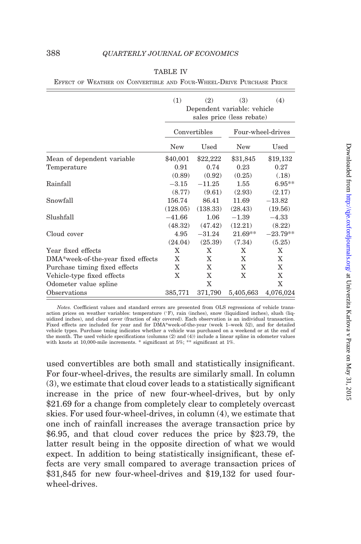|                                    | (1)<br>(2)<br>(3)<br>(4)<br>Dependent variable: vehicle<br>sales price (less rebate) |              |           |                   |  |
|------------------------------------|--------------------------------------------------------------------------------------|--------------|-----------|-------------------|--|
|                                    |                                                                                      | Convertibles |           | Four-wheel-drives |  |
|                                    | <b>New</b>                                                                           | Used         | New       | Used              |  |
| Mean of dependent variable         | \$40,001                                                                             | \$22,222     | \$31,845  | \$19,132          |  |
| Temperature                        | 0.91                                                                                 | 0.74         | 0.23      | 0.27              |  |
|                                    | (0.89)                                                                               | (0.92)       | (0.25)    | (.18)             |  |
| Rainfall                           | $-3.15$                                                                              | $-11.25$     | 1.55      | $6.95***$         |  |
|                                    | (8.77)                                                                               | (9.61)       | (2.93)    | (2.17)            |  |
| Snowfall                           | 156.74                                                                               | 86.41        | 11.69     | $-13.82$          |  |
|                                    | (128.05)                                                                             | (138.33)     | (28.43)   | (19.56)           |  |
| Slushfall                          | $-41.66$                                                                             | 1.06         | $-1.39$   | $-4.33$           |  |
|                                    | (48.32)                                                                              | (47.42)      | (12.21)   | (8.22)            |  |
| Cloud cover                        | 4.95                                                                                 | $-31.24$     | $21.69**$ | $-23.79**$        |  |
|                                    | (24.04)                                                                              | (25.39)      | (7.34)    | (5.25)            |  |
| Year fixed effects                 | X                                                                                    | X            | X         | X                 |  |
| DMA*week-of-the-year fixed effects | X                                                                                    | X            | X         | X                 |  |
| Purchase timing fixed effects      | X                                                                                    | X            | X         | X                 |  |
| Vehicle-type fixed effects         | X                                                                                    | X            | X         | X                 |  |
| Odometer value spline              |                                                                                      | X            |           | X                 |  |
| Observations                       | 385,771                                                                              | 371,790      | 5,405,663 | 4,076,024         |  |

<span id="page-17-0"></span>

|  | TABLE IV |                                                                      |  |
|--|----------|----------------------------------------------------------------------|--|
|  |          | EFFECT OF WEATHER ON CONVERTIBLE AND FOUR-WHEEL-DRIVE PURCHASE PRICE |  |

Notes. Coefficient values and standard errors are presented from OLS regressions of vehicle transaction prices on weather variables: temperature (°F), rain (inches), snow (liquidized inches), slush (liquidized inches), and cloud cover (fraction of sky covered). Each observation is an individual transaction. Fixed effects are included for year and for DMA\*week-of-the-year (week 1–week 52), and for detailed vehicle types. Purchase tming indicates whether a vehicle was purchased on a weekend or at the end of the month. The used vehicle specifications (columns (2) and (4)) include a linear spline in odometer values with knots at 10,000-mile increments. \* significant at 5%; \*\* significant at 1%.

used convertibles are both small and statistically insignificant. For four-wheel-drives, the results are similarly small. In column (3), we estimate that cloud cover leads to a statistically significant increase in the price of new four-wheel-drives, but by only \$21.69 for a change from completely clear to completely overcast skies. For used four-wheel-drives, in column (4), we estimate that one inch of rainfall increases the average transaction price by \$6.95, and that cloud cover reduces the price by \$23.79, the latter result being in the opposite direction of what we would expect. In addition to being statistically insignificant, these effects are very small compared to average transaction prices of \$31,845 for new four-wheel-drives and \$19,132 for used fourwheel-drives.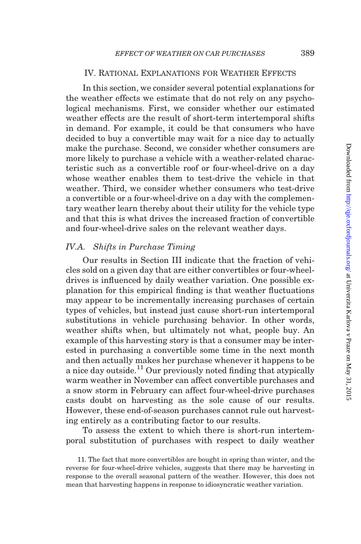### IV. Rational Explanations for Weather Effects

In this section, we consider several potential explanations for the weather effects we estimate that do not rely on any psychological mechanisms. First, we consider whether our estimated weather effects are the result of short-term intertemporal shifts in demand. For example, it could be that consumers who have decided to buy a convertible may wait for a nice day to actually make the purchase. Second, we consider whether consumers are more likely to purchase a vehicle with a weather-related characteristic such as a convertible roof or four-wheel-drive on a day whose weather enables them to test-drive the vehicle in that weather. Third, we consider whether consumers who test-drive a convertible or a four-wheel-drive on a day with the complementary weather learn thereby about their utility for the vehicle type and that this is what drives the increased fraction of convertible and four-wheel-drive sales on the relevant weather days.

## IV.A. Shifts in Purchase Timing

Our results in Section III indicate that the fraction of vehicles sold on a given day that are either convertibles or four-wheeldrives is influenced by daily weather variation. One possible explanation for this empirical finding is that weather fluctuations may appear to be incrementally increasing purchases of certain types of vehicles, but instead just cause short-run intertemporal substitutions in vehicle purchasing behavior. In other words, weather shifts when, but ultimately not what, people buy. An example of this harvesting story is that a consumer may be interested in purchasing a convertible some time in the next month and then actually makes her purchase whenever it happens to be a nice day outside.<sup>11</sup> Our previously noted finding that atypically warm weather in November can affect convertible purchases and a snow storm in February can affect four-wheel-drive purchases casts doubt on harvesting as the sole cause of our results. However, these end-of-season purchases cannot rule out harvesting entirely as a contributing factor to our results.

To assess the extent to which there is short-run intertemporal substitution of purchases with respect to daily weather

<sup>11.</sup> The fact that more convertibles are bought in spring than winter, and the reverse for four-wheel-drive vehicles, suggests that there may be harvesting in response to the overall seasonal pattern of the weather. However, this does not mean that harvesting happens in response to idiosyncratic weather variation.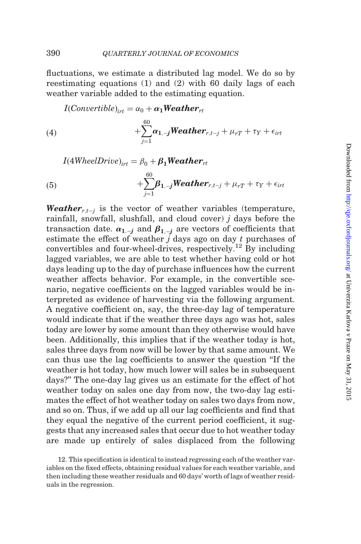fluctuations, we estimate a distributed lag model. We do so by reestimating [equations \(1\)](#page-7-0) and [\(2\)](#page-11-0) with 60 daily lags of each weather variable added to the estimating equation.

(4)

\n
$$
I(Convertible)_{irt} = \alpha_0 + \alpha_1 \text{Weather}_{rt} + \sum_{j=1}^{60} \alpha_{1,-j} \text{Weather}_{r,t-j} + \mu_{rT} + \tau_Y + \epsilon_{irt}
$$

(5)  
\n
$$
I(4Wheel Drive)_{irt} = \beta_0 + \beta_1 Weather_{rt} + \sum_{j=1}^{60} \beta_{1,-j}Weather_{rt-j} + \mu_{rT} + \tau_Y + \epsilon_{irt}
$$
\n
$$
(5)
$$

**Weather**<sub>r,t-j</sub> is the vector of weather variables (temperature, rainfall, snowfall, slushfall, and cloud cover)  $j$  days before the transaction date.  $\alpha_{1,-j}$  and  $\beta_{1,-j}$  are vectors of coefficients that estimate the effect of weather  $\dot{j}$  days ago on day t purchases of convertibles and four-wheel-drives, respectively.<sup>12</sup> By including lagged variables, we are able to test whether having cold or hot days leading up to the day of purchase influences how the current weather affects behavior. For example, in the convertible scenario, negative coefficients on the lagged variables would be interpreted as evidence of harvesting via the following argument. A negative coefficient on, say, the three-day lag of temperature would indicate that if the weather three days ago was hot, sales today are lower by some amount than they otherwise would have been. Additionally, this implies that if the weather today is hot, sales three days from now will be lower by that same amount. We can thus use the lag coefficients to answer the question ''If the weather is hot today, how much lower will sales be in subsequent days?'' The one-day lag gives us an estimate for the effect of hot weather today on sales one day from now, the two-day lag estimates the effect of hot weather today on sales two days from now, and so on. Thus, if we add up all our lag coefficients and find that they equal the negative of the current period coefficient, it suggests that any increased sales that occur due to hot weather today are made up entirely of sales displaced from the following

<span id="page-19-0"></span>

<sup>12.</sup> This specification is identical to instead regressing each of the weather variables on the fixed effects, obtaining residual values for each weather variable, and then including these weather residuals and 60 days' worth of lags of weather residuals in the regression.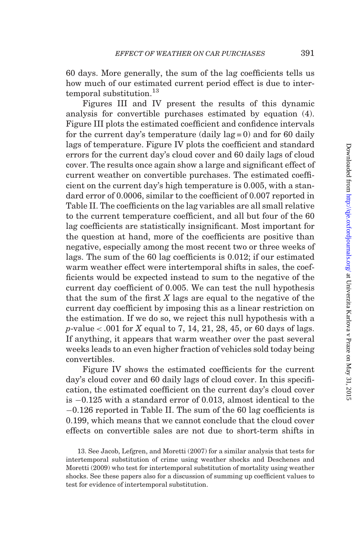60 days. More generally, the sum of the lag coefficients tells us how much of our estimated current period effect is due to intertemporal substitution.<sup>13</sup>

[Figures III](#page-21-0) and [IV](#page-22-0) present the results of this dynamic analysis for convertible purchases estimated by [equation \(4\).](#page-19-0) [Figure III](#page-21-0) plots the estimated coefficient and confidence intervals for the current day's temperature (daily  $\log = 0$ ) and for 60 daily lags of temperature. [Figure IV](#page-22-0) plots the coefficient and standard errors for the current day's cloud cover and 60 daily lags of cloud cover. The results once again show a large and significant effect of current weather on convertible purchases. The estimated coefficient on the current day's high temperature is 0.005, with a standard error of 0.0006, similar to the coefficient of 0.007 reported in [Table II.](#page-8-0) The coefficients on the lag variables are all small relative to the current temperature coefficient, and all but four of the 60 lag coefficients are statistically insignificant. Most important for the question at hand, more of the coefficients are positive than negative, especially among the most recent two or three weeks of lags. The sum of the 60 lag coefficients is 0.012; if our estimated warm weather effect were intertemporal shifts in sales, the coefficients would be expected instead to sum to the negative of the current day coefficient of 0.005. We can test the null hypothesis that the sum of the first  $X$  lags are equal to the negative of the current day coefficient by imposing this as a linear restriction on the estimation. If we do so, we reject this null hypothesis with a  $p$ -value < .001 for X equal to 7, 14, 21, 28, 45, or 60 days of lags. If anything, it appears that warm weather over the past several weeks leads to an even higher fraction of vehicles sold today being convertibles.

[Figure IV](#page-22-0) shows the estimated coefficients for the current day's cloud cover and 60 daily lags of cloud cover. In this specification, the estimated coefficient on the current day's cloud cover is  $-0.125$  with a standard error of 0.013, almost identical to the  $-0.126$  reported in [Table II](#page-8-0). The sum of the 60 lag coefficients is 0.199, which means that we cannot conclude that the cloud cover effects on convertible sales are not due to short-term shifts in

13. See [Jacob, Lefgren, and Moretti \(2007\)](#page-42-0) for a similar analysis that tests for intertemporal substitution of crime using weather shocks and [Deschenes and](#page-42-0) [Moretti \(2009\)](#page-42-0) who test for intertemporal substitution of mortality using weather shocks. See these papers also for a discussion of summing up coefficient values to test for evidence of intertemporal substitution.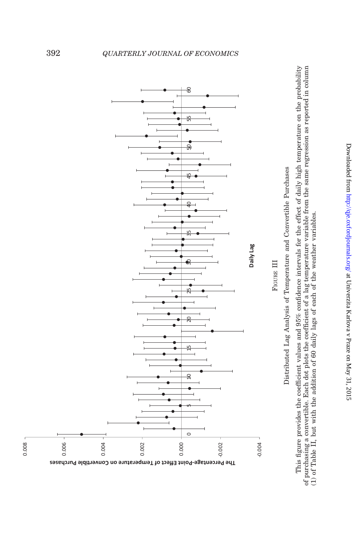<span id="page-21-0"></span>



of purchasing a convertible. Each dot plots the coefficient of a lag temperature variable from the same regression as reported in column  $(1)$  of Table II, but with the addition of 60 daily lags of each of the weather var This figure provides the coefficient values and 95% confidence intervals for the effect of daily high temperature on the probability This figure provides the coefficient values and 95% confidence intervals for the effect of daily high temperature on the probability of purchasing a convertible. Each dot plots the coefficient of a lag temperature variable from the same regression as reported in column (1) of [Table](#page-8-0) II, but with the addition of 60 daily lags of each of the weather variables.

Downloaded from <http://qje.oxfordjournals.org/> at Univerzita Karlova v Praze on May 31, 2015

Downloaded from http://qje.oxfordjournals.org/ at Univerzita Karlova v Praze on May 31, 2015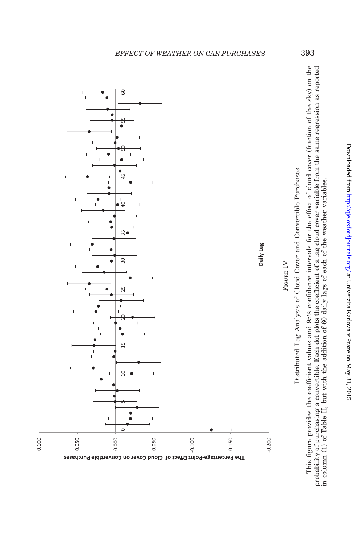<span id="page-22-0"></span>

0.100

This figure provides the coefficient values and 95% confidence intervals for the effect of cloud cover (fraction of the sky) on the probability of purchasing a convertible. Each dot plots the coefficient of a lag cloud cover variable from the same regression as reported<br>in column (1) of Table II, but with the addition of 60 daily lags of each of the we This figure provides the coefficient values and 95% confidence intervals for the effect of cloud cover (fraction of the sky) on the probability of purchasing a convertible. Each dot plots the coefficient of a lag cloud cover variable from the same regression as reported in column (1) of [Table](#page-8-0) II, but with the addition of 60 daily lags of each of the weather variables.

# EFFECT OF WEATHER ON CAR PURCHASES 393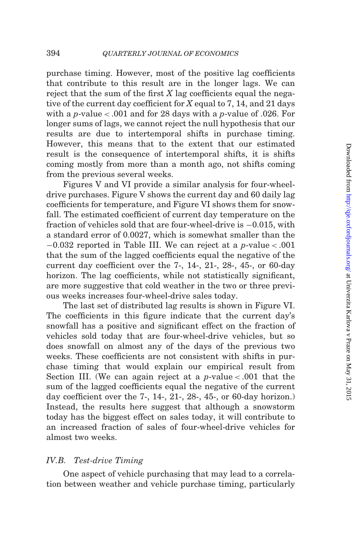purchase timing. However, most of the positive lag coefficients that contribute to this result are in the longer lags. We can reject that the sum of the first  $X$  lag coefficients equal the negative of the current day coefficient for  $X$  equal to 7, 14, and 21 days with a *p*-value  $< .001$  and for 28 days with a *p*-value of  $.026$ . For longer sums of lags, we cannot reject the null hypothesis that our results are due to intertemporal shifts in purchase timing. However, this means that to the extent that our estimated result is the consequence of intertemporal shifts, it is shifts coming mostly from more than a month ago, not shifts coming from the previous several weeks.

[Figures V](#page-24-0) and [VI](#page-25-0) provide a similar analysis for four-wheeldrive purchases. [Figure V](#page-24-0) shows the current day and 60 daily lag coefficients for temperature, and [Figure VI](#page-25-0) shows them for snowfall. The estimated coefficient of current day temperature on the fraction of vehicles sold that are four-wheel-drive is  $-0.015$ , with a standard error of 0.0027, which is somewhat smaller than the  $-0.032$  reported in [Table III.](#page-11-0) We can reject at a p-value  $< .001$ that the sum of the lagged coefficients equal the negative of the current day coefficient over the 7-, 14-, 21-, 28-, 45-, or 60-day horizon. The lag coefficients, while not statistically significant, are more suggestive that cold weather in the two or three previous weeks increases four-wheel-drive sales today.

The last set of distributed lag results is shown in [Figure VI](#page-25-0). The coefficients in this figure indicate that the current day's snowfall has a positive and significant effect on the fraction of vehicles sold today that are four-wheel-drive vehicles, but so does snowfall on almost any of the days of the previous two weeks. These coefficients are not consistent with shifts in purchase timing that would explain our empirical result from Section III. (We can again reject at a  $p$ -value  $< .001$  that the sum of the lagged coefficients equal the negative of the current day coefficient over the 7-, 14-, 21-, 28-, 45-, or 60-day horizon.) Instead, the results here suggest that although a snowstorm today has the biggest effect on sales today, it will contribute to an increased fraction of sales of four-wheel-drive vehicles for almost two weeks.

## IV.B. Test-drive Timing

One aspect of vehicle purchasing that may lead to a correlation between weather and vehicle purchase timing, particularly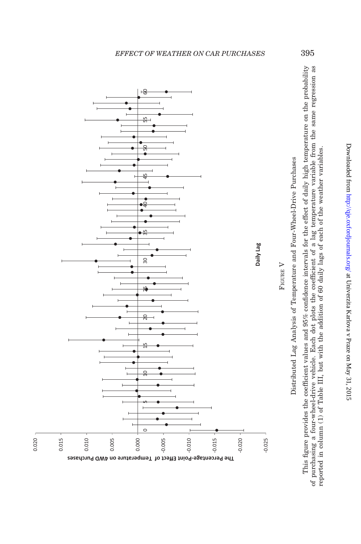

<span id="page-24-0"></span>

# EFFECT OF WEATHER ON CAR PURCHASES 395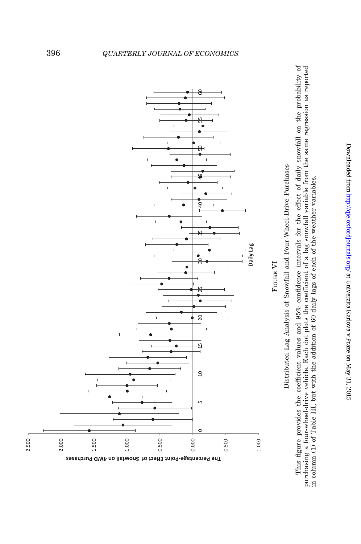

<span id="page-25-0"></span>

Distributed Lag Analysis of Snowfall and Four-Wheel-Drive Purchases Distributed Lag Analysis of Snowfall and Four-Wheel-Drive Purchases

This figure provides the coefficient values and 95% confidence intervals for the effect of daily snowfall on the probability of purchasing a four-wheel-drive vehicle. Each dot plots the coefficient of a lag snowfall variable from the same regression as reported in column (1) of Table III, but with the addition of 60 daily lags of each of the weath This figure provides the coefficient values and 95% confidence intervals for the effect of daily snowfall on the probability of purchasing a four-wheel-drive vehicle. Each dot plots the coefficient of a lag snowfall variable from the same regression as reported in column (1) of [Table](#page-11-0) III, but with the addition of 60 daily lags of each of the weather variables.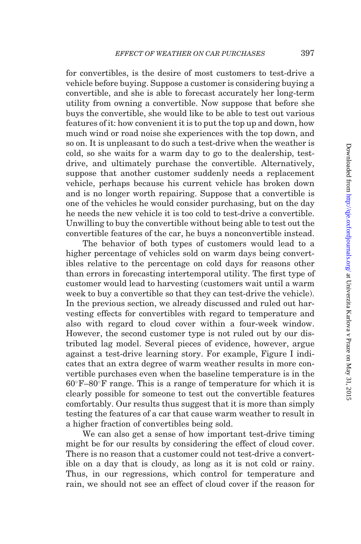for convertibles, is the desire of most customers to test-drive a vehicle before buying. Suppose a customer is considering buying a convertible, and she is able to forecast accurately her long-term utility from owning a convertible. Now suppose that before she buys the convertible, she would like to be able to test out various features of it: how convenient it is to put the top up and down, how much wind or road noise she experiences with the top down, and so on. It is unpleasant to do such a test-drive when the weather is cold, so she waits for a warm day to go to the dealership, testdrive, and ultimately purchase the convertible. Alternatively, suppose that another customer suddenly needs a replacement vehicle, perhaps because his current vehicle has broken down and is no longer worth repairing. Suppose that a convertible is one of the vehicles he would consider purchasing, but on the day he needs the new vehicle it is too cold to test-drive a convertible. Unwilling to buy the convertible without being able to test out the convertible features of the car, he buys a nonconvertible instead.

The behavior of both types of customers would lead to a higher percentage of vehicles sold on warm days being convertibles relative to the percentage on cold days for reasons other than errors in forecasting intertemporal utility. The first type of customer would lead to harvesting (customers wait until a warm week to buy a convertible so that they can test-drive the vehicle). In the previous section, we already discussed and ruled out harvesting effects for convertibles with regard to temperature and also with regard to cloud cover within a four-week window. However, the second customer type is not ruled out by our distributed lag model. Several pieces of evidence, however, argue against a test-drive learning story. For example, [Figure I](#page-10-0) indicates that an extra degree of warm weather results in more convertible purchases even when the baseline temperature is in the 60-F–80-F range. This is a range of temperature for which it is clearly possible for someone to test out the convertible features comfortably. Our results thus suggest that it is more than simply testing the features of a car that cause warm weather to result in a higher fraction of convertibles being sold.

We can also get a sense of how important test-drive timing might be for our results by considering the effect of cloud cover. There is no reason that a customer could not test-drive a convertible on a day that is cloudy, as long as it is not cold or rainy. Thus, in our regressions, which control for temperature and rain, we should not see an effect of cloud cover if the reason for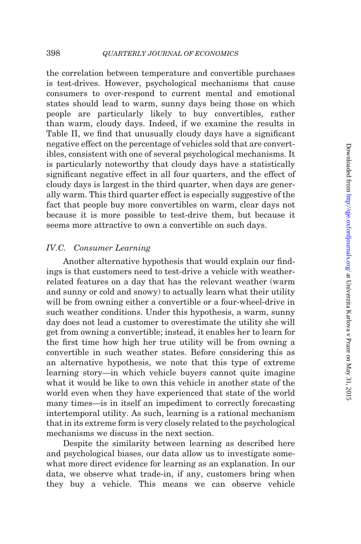the correlation between temperature and convertible purchases is test-drives. However, psychological mechanisms that cause consumers to over-respond to current mental and emotional states should lead to warm, sunny days being those on which people are particularly likely to buy convertibles, rather than warm, cloudy days. Indeed, if we examine the results in [Table II,](#page-8-0) we find that unusually cloudy days have a significant negative effect on the percentage of vehicles sold that are convertibles, consistent with one of several psychological mechanisms. It is particularly noteworthy that cloudy days have a statistically significant negative effect in all four quarters, and the effect of cloudy days is largest in the third quarter, when days are generally warm. This third quarter effect is especially suggestive of the fact that people buy more convertibles on warm, clear days not because it is more possible to test-drive them, but because it seems more attractive to own a convertible on such days.

## IV.C. Consumer Learning

Another alternative hypothesis that would explain our findings is that customers need to test-drive a vehicle with weatherrelated features on a day that has the relevant weather (warm and sunny or cold and snowy) to actually learn what their utility will be from owning either a convertible or a four-wheel-drive in such weather conditions. Under this hypothesis, a warm, sunny day does not lead a customer to overestimate the utility she will get from owning a convertible; instead, it enables her to learn for the first time how high her true utility will be from owning a convertible in such weather states. Before considering this as an alternative hypothesis, we note that this type of extreme learning story—in which vehicle buyers cannot quite imagine what it would be like to own this vehicle in another state of the world even when they have experienced that state of the world many times—is in itself an impediment to correctly forecasting intertemporal utility. As such, learning is a rational mechanism that in its extreme form is very closely related to the psychological mechanisms we discuss in the next section.

Despite the similarity between learning as described here and psychological biases, our data allow us to investigate somewhat more direct evidence for learning as an explanation. In our data, we observe what trade-in, if any, customers bring when they buy a vehicle. This means we can observe vehicle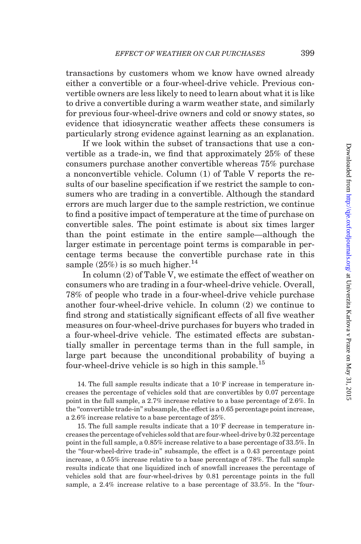transactions by customers whom we know have owned already either a convertible or a four-wheel-drive vehicle. Previous convertible owners are less likely to need to learn about what it is like to drive a convertible during a warm weather state, and similarly for previous four-wheel-drive owners and cold or snowy states, so evidence that idiosyncratic weather affects these consumers is particularly strong evidence against learning as an explanation.

If we look within the subset of transactions that use a convertible as a trade-in, we find that approximately 25% of these consumers purchase another convertible whereas 75% purchase a nonconvertible vehicle. Column (1) of [Table V](#page-29-0) reports the results of our baseline specification if we restrict the sample to consumers who are trading in a convertible. Although the standard errors are much larger due to the sample restriction, we continue to find a positive impact of temperature at the time of purchase on convertible sales. The point estimate is about six times larger than the point estimate in the entire sample—although the larger estimate in percentage point terms is comparable in percentage terms because the convertible purchase rate in this sample  $(25%)$  is so much higher.<sup>14</sup>

In column (2) of [Table V](#page-29-0), we estimate the effect of weather on consumers who are trading in a four-wheel-drive vehicle. Overall, 78% of people who trade in a four-wheel-drive vehicle purchase another four-wheel-drive vehicle. In column (2) we continue to find strong and statistically significant effects of all five weather measures on four-wheel-drive purchases for buyers who traded in a four-wheel-drive vehicle. The estimated effects are substantially smaller in percentage terms than in the full sample, in large part because the unconditional probability of buying a four-wheel-drive vehicle is so high in this sample.<sup>15</sup>

14. The full sample results indicate that a  $10^{\circ}$ F increase in temperature increases the percentage of vehicles sold that are convertibles by 0.07 percentage point in the full sample, a 2.7% increase relative to a base percentage of 2.6%. In the ''convertible trade-in'' subsample, the effect is a 0.65 percentage point increase, a 2.6% increase relative to a base percentage of 25%.

15. The full sample results indicate that a  $10^{\circ}$ F decrease in temperature increases the percentage of vehicles sold that are four-wheel-drive by 0.32 percentage point in the full sample, a 0.85% increase relative to a base percentage of 33.5%. In the ''four-wheel-drive trade-in'' subsample, the effect is a 0.43 percentage point increase, a 0.55% increase relative to a base percentage of 78%. The full sample results indicate that one liquidized inch of snowfall increases the percentage of vehicles sold that are four-wheel-drives by 0.81 percentage points in the full sample, a  $2.4\%$  increase relative to a base percentage of  $33.5\%$ . In the "four-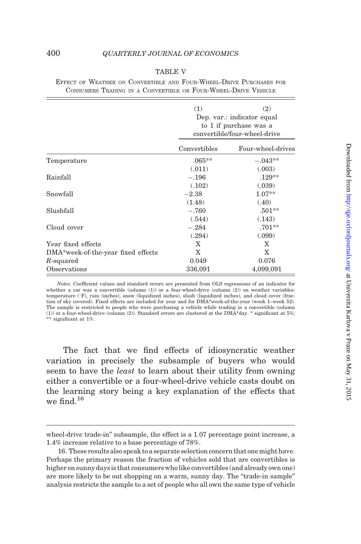### TABLE V

|                                    | (1)                               | (2)                          |  |
|------------------------------------|-----------------------------------|------------------------------|--|
|                                    |                                   | Dep. var.: indicator equal   |  |
|                                    |                                   | to 1 if purchase was a       |  |
|                                    |                                   | convertible/four-wheel-drive |  |
|                                    | Convertibles<br>Four-wheel-drives |                              |  |
| Temperature                        | $.065***$                         | $-.043**$                    |  |
|                                    | (.011)                            | (.003)                       |  |
| Rainfall                           | $-.196$                           | $.129**$                     |  |
|                                    | (.102)                            | (.039)                       |  |
| Snowfall                           | $-2.38$                           | $1.07**$                     |  |
|                                    | (1.48)                            | (.40)                        |  |
| Slushfall                          | $-.760$                           | $.501**$                     |  |
|                                    | (.544)                            | (.143)                       |  |
| Cloud cover                        | $-.284$                           | $.701**$                     |  |
|                                    | (.294)                            | (.099)                       |  |
| Year fixed effects                 | X                                 | X                            |  |
| DMA*week-of-the-year fixed effects | X                                 | X                            |  |
| $R$ -squared                       | 0.049                             | 0.076                        |  |
| Observations                       | 336,091                           | 4,099,091                    |  |

<span id="page-29-0"></span>EFFECT OF WEATHER ON CONVERTIBLE AND FOUR-WHEEL-DRIVE PURCHASES FOR CONSUMERS TRADING IN A CONVERTIBLE OR FOUR-WHEEL-DRIVE VEHICLE

Notes. Coefficient values and standard errors are presented from OLS regressions of an indicator for whether a car was a convertible (column (1)) or a four-wheel-drive (column (2)) on weather variables: temperature (°F), rain (inches), snow (liquidized inches), slush (liquidized inches), and cloud cover (fraction of sky covered). Fixed effects are included for year and for DMA\*week-of-the-year (week 1–week 52). The sample is restricted to people who were purchasing a vehicle while trading in a convertible (column (1)) or a four-wheel-drive (column (2)). Standard errors are clustered at the DMA\*day. \* significant at 5%; \*\* significant at 1%.

The fact that we find effects of idiosyncratic weather variation in precisely the subsample of buyers who would seem to have the *least* to learn about their utility from owning either a convertible or a four-wheel-drive vehicle casts doubt on the learning story being a key explanation of the effects that we find.<sup>16</sup>

wheel-drive trade-in" subsample, the effect is a 1.07 percentage point increase, a 1.4% increase relative to a base percentage of 78%.

<sup>16.</sup> These results also speak toaseparate selection concern that one might have. Perhaps the primary reason the fraction of vehicles sold that are convertibles is higher on sunny days is that consumers who like convertibles (and already own one) are more likely to be out shopping on a warm, sunny day. The ''trade-in sample'' analysis restricts the sample to a set of people who all own the same type of vehicle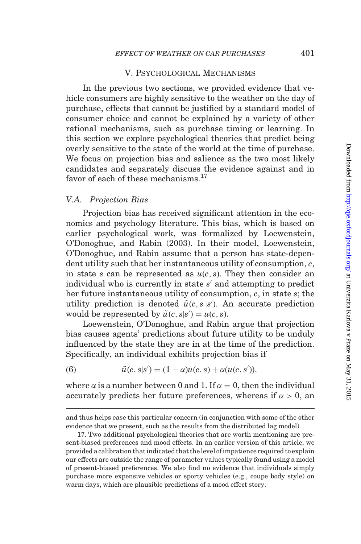### V. Psychological Mechanisms

<span id="page-30-0"></span>In the previous two sections, we provided evidence that vehicle consumers are highly sensitive to the weather on the day of purchase, effects that cannot be justified by a standard model of consumer choice and cannot be explained by a variety of other rational mechanisms, such as purchase timing or learning. In this section we explore psychological theories that predict being overly sensitive to the state of the world at the time of purchase. We focus on projection bias and salience as the two most likely candidates and separately discuss the evidence against and in favor of each of these mechanisms.<sup>17</sup>

### V.A. Projection Bias

Projection bias has received significant attention in the economics and psychology literature. This bias, which is based on earlier psychological work, was formalized by [Loewenstein,](#page-42-0) [O'Donoghue, and Rabin \(2003\)](#page-42-0). In their model, Loewenstein, O'Donoghue, and Rabin assume that a person has state-dependent utility such that her instantaneous utility of consumption, c, in state s can be represented as  $u(c, s)$ . They then consider an individual who is currently in state  $s'$  and attempting to predict her future instantaneous utility of consumption, c, in state s; the utility prediction is denoted  $\tilde{u}(c, s | s')$ . An accurate prediction would be represented by  $\tilde{u}(c, s|s') = u(c, s)$ .

Loewenstein, O'Donoghue, and Rabin argue that projection bias causes agents' predictions about future utility to be unduly influenced by the state they are in at the time of the prediction. Specifically, an individual exhibits projection bias if

(6) 
$$
\tilde{u}(c,s|s') = (1-\alpha)u(c,s) + \alpha(u(c,s')),
$$

where  $\alpha$  is a number between 0 and 1. If  $\alpha = 0,$  then the individual accurately predicts her future preferences, whereas if  $\alpha > 0$ , an

and thus helps ease this particular concern (in conjunction with some of the other evidence that we present, such as the results from the distributed lag model).

<sup>17.</sup> Two additional psychological theories that are worth mentioning are present-biased preferences and mood effects. In an earlier version of this article, we provided acalibration that indicated that the levelof impatience required toexplain our effects are outside the range of parameter values typically found using a model of present-biased preferences. We also find no evidence that individuals simply purchase more expensive vehicles or sporty vehicles (e.g., coupe body style) on warm days, which are plausible predictions of a mood effect story.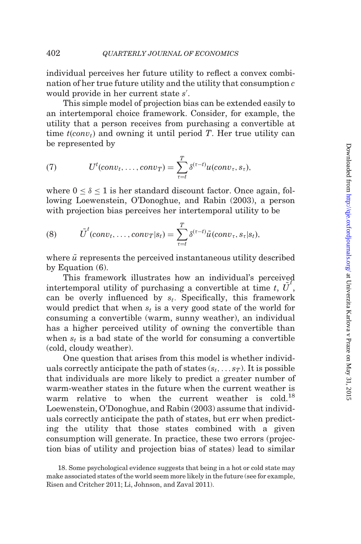individual perceives her future utility to reflect a convex combination of her true future utility and the utility that consumption c would provide in her current state s'.

This simple model of projection bias can be extended easily to an intertemporal choice framework. Consider, for example, the utility that a person receives from purchasing a convertible at time  $t(conv<sub>t</sub>)$  and owning it until period T. Her true utility can be represented by

(7) 
$$
U^t(conv_t, ..., conv_T) = \sum_{\tau=t}^T \delta^{(\tau-t)} u(conv_{\tau}, s_{\tau}),
$$

where  $0 < \delta < 1$  is her standard discount factor. Once again, following [Loewenstein, O'Donoghue, and Rabin \(2003\),](#page-42-0) a person with projection bias perceives her intertemporal utility to be

(8) 
$$
\tilde{U}^t(\text{conv}_t, \ldots, \text{conv}_T | s_t) = \sum_{\tau=t}^T \delta^{(\tau-t)} \tilde{u}(\text{conv}_\tau, s_\tau | s_t),
$$

where  $\tilde{u}$  represents the perceived instantaneous utility described by [Equation \(6\).](#page-30-0)

This framework illustrates how an individual's perceived intertemporal utility of purchasing a convertible at time  $t$ ,  $\tilde{U}^t$ , can be overly influenced by  $s_t$ . Specifically, this framework would predict that when  $s_t$  is a very good state of the world for consuming a convertible (warm, sunny weather), an individual has a higher perceived utility of owning the convertible than when  $s_t$  is a bad state of the world for consuming a convertible (cold, cloudy weather).

One question that arises from this model is whether individuals correctly anticipate the path of states  $(s_t, \ldots s_T)$ . It is possible that individuals are more likely to predict a greater number of warm-weather states in the future when the current weather is warm relative to when the current weather is cold.<sup>18</sup> [Loewenstein, O'Donoghue, and Rabin \(2003\)](#page-42-0) assume that individuals correctly anticipate the path of states, but err when predicting the utility that those states combined with a given consumption will generate. In practice, these two errors (projection bias of utility and projection bias of states) lead to similar

<sup>18.</sup> Some psychological evidence suggests that being in a hot or cold state may make associated states of the world seem more likely in the future (see for example, [Risen and Critcher 2011](#page-43-0); [Li, Johnson, and Zaval 2011\)](#page-42-0).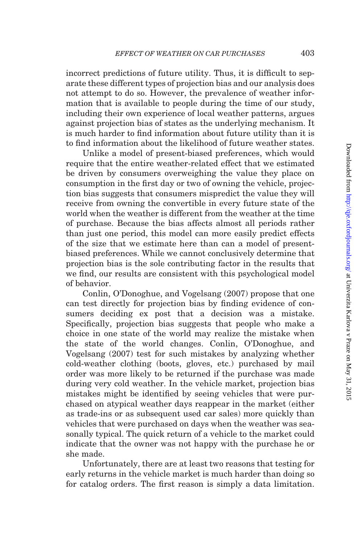incorrect predictions of future utility. Thus, it is difficult to separate these different types of projection bias and our analysis does not attempt to do so. However, the prevalence of weather information that is available to people during the time of our study, including their own experience of local weather patterns, argues against projection bias of states as the underlying mechanism. It is much harder to find information about future utility than it is to find information about the likelihood of future weather states.

Unlike a model of present-biased preferences, which would require that the entire weather-related effect that we estimated be driven by consumers overweighing the value they place on consumption in the first day or two of owning the vehicle, projection bias suggests that consumers mispredict the value they will receive from owning the convertible in every future state of the world when the weather is different from the weather at the time of purchase. Because the bias affects almost all periods rather than just one period, this model can more easily predict effects of the size that we estimate here than can a model of presentbiased preferences. While we cannot conclusively determine that projection bias is the sole contributing factor in the results that we find, our results are consistent with this psychological model of behavior.

[Conlin, O'Donoghue, and Vogelsang \(2007\)](#page-42-0) propose that one can test directly for projection bias by finding evidence of consumers deciding ex post that a decision was a mistake. Specifically, projection bias suggests that people who make a choice in one state of the world may realize the mistake when the state of the world changes. [Conlin, O'Donoghue, and](#page-42-0) [Vogelsang \(2007\)](#page-42-0) test for such mistakes by analyzing whether cold-weather clothing (boots, gloves, etc.) purchased by mail order was more likely to be returned if the purchase was made during very cold weather. In the vehicle market, projection bias mistakes might be identified by seeing vehicles that were purchased on atypical weather days reappear in the market (either as trade-ins or as subsequent used car sales) more quickly than vehicles that were purchased on days when the weather was seasonally typical. The quick return of a vehicle to the market could indicate that the owner was not happy with the purchase he or she made.

Unfortunately, there are at least two reasons that testing for early returns in the vehicle market is much harder than doing so for catalog orders. The first reason is simply a data limitation.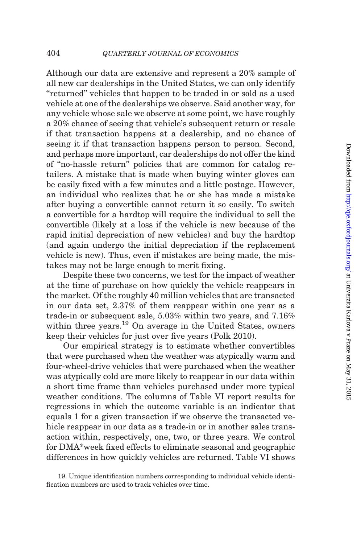Although our data are extensive and represent a 20% sample of all new car dealerships in the United States, we can only identify ''returned'' vehicles that happen to be traded in or sold as a used vehicle at one of the dealerships we observe. Said another way, for any vehicle whose sale we observe at some point, we have roughly a 20% chance of seeing that vehicle's subsequent return or resale if that transaction happens at a dealership, and no chance of seeing it if that transaction happens person to person. Second, and perhaps more important, car dealerships do not offer the kind of ''no-hassle return'' policies that are common for catalog retailers. A mistake that is made when buying winter gloves can be easily fixed with a few minutes and a little postage. However, an individual who realizes that he or she has made a mistake after buying a convertible cannot return it so easily. To switch a convertible for a hardtop will require the individual to sell the convertible (likely at a loss if the vehicle is new because of the rapid initial depreciation of new vehicles) and buy the hardtop (and again undergo the initial depreciation if the replacement vehicle is new). Thus, even if mistakes are being made, the mistakes may not be large enough to merit fixing.

Despite these two concerns, we test for the impact of weather at the time of purchase on how quickly the vehicle reappears in the market. Of the roughly 40 million vehicles that are transacted in our data set, 2.37% of them reappear within one year as a trade-in or subsequent sale, 5.03% within two years, and 7.16% within three years.<sup>19</sup> On average in the United States, owners keep their vehicles for just over five years ([Polk 2010\)](#page-43-0).

Our empirical strategy is to estimate whether convertibles that were purchased when the weather was atypically warm and four-wheel-drive vehicles that were purchased when the weather was atypically cold are more likely to reappear in our data within a short time frame than vehicles purchased under more typical weather conditions. The columns of [Table VI](#page-34-0) report results for regressions in which the outcome variable is an indicator that equals 1 for a given transaction if we observe the transacted vehicle reappear in our data as a trade-in or in another sales transaction within, respectively, one, two, or three years. We control for DMA\*week fixed effects to eliminate seasonal and geographic differences in how quickly vehicles are returned. [Table VI](#page-34-0) shows

19. Unique identification numbers corresponding to individual vehicle identification numbers are used to track vehicles over time.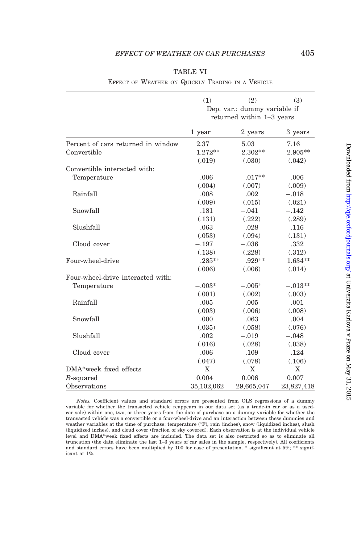<span id="page-34-0"></span>

|                                                   | (2)<br>(3)<br>(1)<br>Dep. var.: dummy variable if<br>returned within 1-3 years |                           |                           |  |
|---------------------------------------------------|--------------------------------------------------------------------------------|---------------------------|---------------------------|--|
|                                                   | 1 year                                                                         | 2 years                   | 3 years                   |  |
| Percent of cars returned in window<br>Convertible | 2.37<br>$1.272**$<br>(.019)                                                    | 5.03<br>2.302**<br>(.030) | 7.16<br>2.905**<br>(.042) |  |
| Convertible interacted with:                      |                                                                                |                           |                           |  |
| Temperature                                       | .006                                                                           | $.017**$                  | .006                      |  |
|                                                   | (.004)                                                                         | (.007)                    | (.009)                    |  |
| Rainfall                                          | .008                                                                           | .002                      | $-.018$                   |  |
|                                                   | (.009)                                                                         | (.015)                    | (.021)                    |  |
| Snowfall                                          | .181                                                                           | $-.041$                   | $-.142$                   |  |
|                                                   | (.131)                                                                         | (.222)                    | (.289)                    |  |
| Slushfall                                         | .063                                                                           | .028                      | $-.116$                   |  |
|                                                   | (.053)                                                                         | (.094)                    | (.131)                    |  |
| Cloud cover                                       | $-.197$                                                                        | $-.036$                   | .332                      |  |
|                                                   | (.138)                                                                         | (.228)                    | (.312)                    |  |
| Four-wheel-drive                                  | $.285***$                                                                      | .929**                    | $1.634**$                 |  |
|                                                   | (.006)                                                                         | (.006)                    | (.014)                    |  |
| Four-wheel-drive interacted with:                 |                                                                                |                           |                           |  |
| Temperature                                       | $-.003*$                                                                       | $-.005*$                  | $-.013**$                 |  |
|                                                   | (.001)                                                                         | (.002)                    | (.003)                    |  |
| Rainfall                                          | $-.005$                                                                        | $-.005$                   | .001                      |  |
|                                                   | (.003)                                                                         | (.006)                    | (.008)                    |  |
| Snowfall                                          | .000                                                                           | .063                      | .004                      |  |
|                                                   | (.035)                                                                         | (.058)                    | (.076)                    |  |
| Slushfall                                         | .002                                                                           | $-.019$                   | $-.048$                   |  |
|                                                   | (.016)                                                                         | (.028)                    | (.038)                    |  |
| Cloud cover                                       | .006                                                                           | $-.109$                   | $-.124$                   |  |
|                                                   | (.047)                                                                         | (.078)                    | (.106)                    |  |
| DMA*week fixed effects                            | X                                                                              | X                         | X                         |  |
| $R$ -squared                                      | 0.004                                                                          | 0.006                     | 0.007                     |  |
| Observations                                      | 35,102,062                                                                     | 29,665,047                | 23,827,418                |  |

| × |
|---|
|---|

EFFECT OF WEATHER ON QUICKLY TRADING IN A VEHICLE

Notes. Coefficient values and standard errors are presented from OLS regressions of a dummy variable for whether the transacted vehicle reappears in our data set (as a trade-in car or as a usedcar sale) within one, two, or three years from the date of purchase on a dummy variable for whether the transacted vehicle was a convertible or a four-wheel-drive and an interaction between these dummies and weather variables at the time of purchase: temperature (°F), rain (inches), snow (liquidized inches), slush (liquidized inches), and cloud cover (fraction of sky covered). Each observation is at the individual vehicle level and DMA\*week fixed effects are included. The data set is also restricted so as to eliminate all truncation (the data eliminate the last 1–3 years of car sales in the sample, respectively). All coefficients and standard errors have been multiplied by 100 for ease of presentation. \* significant at 5%; \*\* significant at 1%.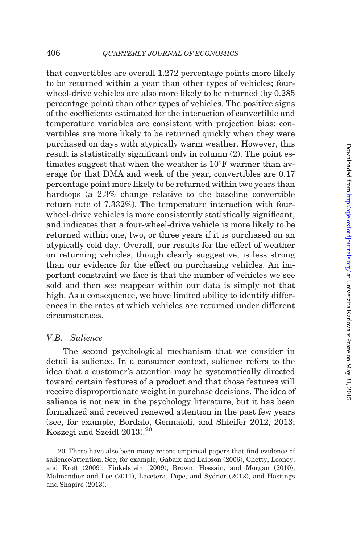that convertibles are overall 1.272 percentage points more likely to be returned within a year than other types of vehicles; fourwheel-drive vehicles are also more likely to be returned (by 0.285 percentage point) than other types of vehicles. The positive signs of the coefficients estimated for the interaction of convertible and temperature variables are consistent with projection bias: convertibles are more likely to be returned quickly when they were purchased on days with atypically warm weather. However, this result is statistically significant only in column (2). The point estimates suggest that when the weather is  $10^{\circ}$ F warmer than average for that DMA and week of the year, convertibles are 0.17 percentage point more likely to be returned within two years than hardtops (a 2.3% change relative to the baseline convertible return rate of 7.332%). The temperature interaction with fourwheel-drive vehicles is more consistently statistically significant, and indicates that a four-wheel-drive vehicle is more likely to be returned within one, two, or three years if it is purchased on an atypically cold day. Overall, our results for the effect of weather on returning vehicles, though clearly suggestive, is less strong than our evidence for the effect on purchasing vehicles. An important constraint we face is that the number of vehicles we see sold and then see reappear within our data is simply not that high. As a consequence, we have limited ability to identify differences in the rates at which vehicles are returned under different circumstances.

# V.B. Salience

The second psychological mechanism that we consider in detail is salience. In a consumer context, salience refers to the idea that a customer's attention may be systematically directed toward certain features of a product and that those features will receive disproportionate weight in purchase decisions. The idea of salience is not new in the psychology literature, but it has been formalized and received renewed attention in the past few years (see, for example, [Bordalo, Gennaioli, and Shleifer 2012, 2013](#page-42-0); [Koszegi and Szeidl 2013](#page-42-0)).<sup>20</sup>

20. There have also been many recent empirical papers that find evidence of salience/attention. See, for example, [Gabaix and Laibson \(2006\), Chetty, Looney,](#page-42-0) [and Kroft \(2009\), Finkelstein \(2009\), Brown, Hossain, and Morgan \(2010\)](#page-42-0), [Malmendier and Lee \(2011\)](#page-42-0), [Lacetera, Pope, and Sydnor \(2012\),](#page-42-0) and [Hastings](#page-42-0) [and Shapiro \(2013\).](#page-42-0)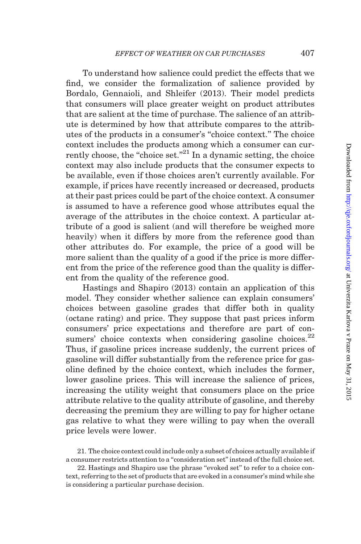To understand how salience could predict the effects that we find, we consider the formalization of salience provided by [Bordalo, Gennaioli, and Shleifer \(2013\).](#page-42-0) Their model predicts that consumers will place greater weight on product attributes that are salient at the time of purchase. The salience of an attribute is determined by how that attribute compares to the attributes of the products in a consumer's ''choice context.'' The choice context includes the products among which a consumer can currently choose, the "choice set."<sup>21</sup> In a dynamic setting, the choice context may also include products that the consumer expects to be available, even if those choices aren't currently available. For example, if prices have recently increased or decreased, products at their past prices could be part of the choice context. A consumer is assumed to have a reference good whose attributes equal the average of the attributes in the choice context. A particular attribute of a good is salient (and will therefore be weighed more heavily) when it differs by more from the reference good than other attributes do. For example, the price of a good will be more salient than the quality of a good if the price is more different from the price of the reference good than the quality is different from the quality of the reference good.

[Hastings and Shapiro \(2013\)](#page-42-0) contain an application of this model. They consider whether salience can explain consumers' choices between gasoline grades that differ both in quality (octane rating) and price. They suppose that past prices inform consumers' price expectations and therefore are part of consumers' choice contexts when considering gasoline choices.<sup>22</sup> Thus, if gasoline prices increase suddenly, the current prices of gasoline will differ substantially from the reference price for gasoline defined by the choice context, which includes the former, lower gasoline prices. This will increase the salience of prices, increasing the utility weight that consumers place on the price attribute relative to the quality attribute of gasoline, and thereby decreasing the premium they are willing to pay for higher octane gas relative to what they were willing to pay when the overall price levels were lower.

21. The choice context could include only a subset of choices actually available if a consumer restricts attention to a ''consideration set'' instead of the full choice set.

22. Hastings and Shapiro use the phrase "evoked set" to refer to a choice context, referring to the set of products that are evoked in a consumer's mind while she is considering a particular purchase decision.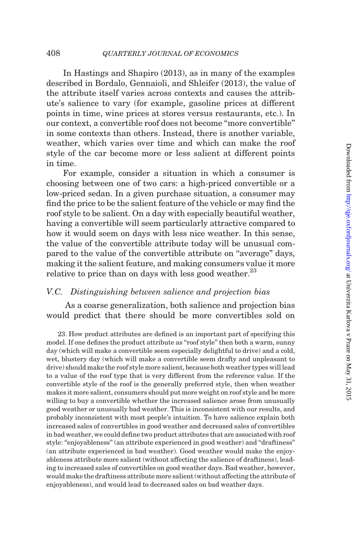In [Hastings and Shapiro \(2013\),](#page-42-0) as in many of the examples described in [Bordalo, Gennaioli, and Shleifer \(2013\),](#page-42-0) the value of the attribute itself varies across contexts and causes the attribute's salience to vary (for example, gasoline prices at different points in time, wine prices at stores versus restaurants, etc.). In our context, a convertible roof does not become ''more convertible'' in some contexts than others. Instead, there is another variable, weather, which varies over time and which can make the roof style of the car become more or less salient at different points in time.

For example, consider a situation in which a consumer is choosing between one of two cars: a high-priced convertible or a low-priced sedan. In a given purchase situation, a consumer may find the price to be the salient feature of the vehicle or may find the roof style to be salient. On a day with especially beautiful weather, having a convertible will seem particularly attractive compared to how it would seem on days with less nice weather. In this sense, the value of the convertible attribute today will be unusual compared to the value of the convertible attribute on ''average'' days, making it the salient feature, and making consumers value it more relative to price than on days with less good weather. $^{23}$ 

### V.C. Distinguishing between salience and projection bias

As a coarse generalization, both salience and projection bias would predict that there should be more convertibles sold on

23. How product attributes are defined is an important part of specifying this model. If one defines the product attribute as "roof style" then both a warm, sunny day (which will make a convertible seem especially delightful to drive) and a cold, wet, blustery day (which will make a convertible seem drafty and unpleasant to drive) should make the roof style more salient, because both weather types will lead to a value of the roof type that is very different from the reference value. If the convertible style of the roof is the generally preferred style, then when weather makes it more salient, consumers should put more weight on roof style and be more willing to buy a convertible whether the increased salience arose from unusually good weather or unusually bad weather. This is inconsistent with our results, and probably inconsistent with most people's intuition. To have salience explain both increased sales of convertibles in good weather and decreased sales of convertibles in bad weather, we could define two product attributes that are associated with roof style: ''enjoyableness'' (an attribute experienced in good weather) and ''draftiness'' (an attribute experienced in bad weather). Good weather would make the enjoyableness attribute more salient (without affecting the salience of draftiness), leading to increased sales of convertibles on good weather days. Bad weather, however, would make the draftiness attribute more salient (without affecting the attribute of enjoyableness), and would lead to decreased sales on bad weather days.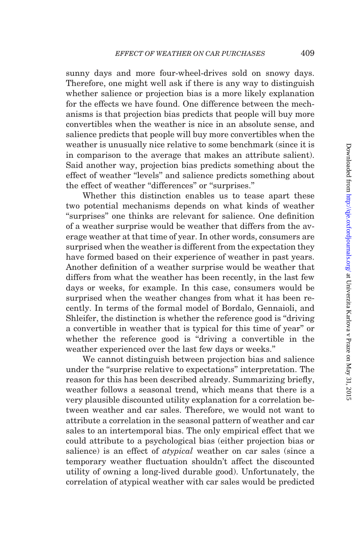sunny days and more four-wheel-drives sold on snowy days. Therefore, one might well ask if there is any way to distinguish whether salience or projection bias is a more likely explanation for the effects we have found. One difference between the mechanisms is that projection bias predicts that people will buy more convertibles when the weather is nice in an absolute sense, and salience predicts that people will buy more convertibles when the weather is unusually nice relative to some benchmark (since it is in comparison to the average that makes an attribute salient). Said another way, projection bias predicts something about the effect of weather ''levels'' and salience predicts something about the effect of weather ''differences'' or ''surprises.''

Whether this distinction enables us to tease apart these two potential mechanisms depends on what kinds of weather ''surprises'' one thinks are relevant for salience. One definition of a weather surprise would be weather that differs from the average weather at that time of year. In other words, consumers are surprised when the weather is different from the expectation they have formed based on their experience of weather in past years. Another definition of a weather surprise would be weather that differs from what the weather has been recently, in the last few days or weeks, for example. In this case, consumers would be surprised when the weather changes from what it has been recently. In terms of the formal model of Bordalo, Gennaioli, and Shleifer, the distinction is whether the reference good is ''driving a convertible in weather that is typical for this time of year'' or whether the reference good is ''driving a convertible in the weather experienced over the last few days or weeks.''

We cannot distinguish between projection bias and salience under the ''surprise relative to expectations'' interpretation. The reason for this has been described already. Summarizing briefly, weather follows a seasonal trend, which means that there is a very plausible discounted utility explanation for a correlation between weather and car sales. Therefore, we would not want to attribute a correlation in the seasonal pattern of weather and car sales to an intertemporal bias. The only empirical effect that we could attribute to a psychological bias (either projection bias or salience) is an effect of *atypical* weather on car sales (since a temporary weather fluctuation shouldn't affect the discounted utility of owning a long-lived durable good). Unfortunately, the correlation of atypical weather with car sales would be predicted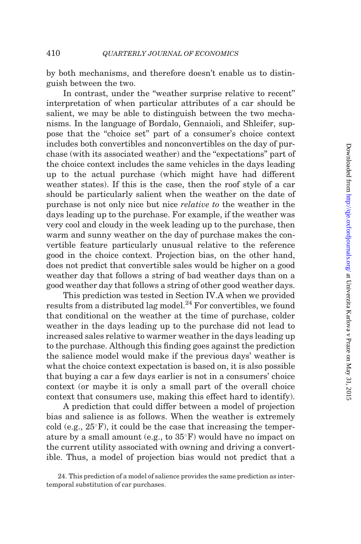by both mechanisms, and therefore doesn't enable us to distinguish between the two.

In contrast, under the ''weather surprise relative to recent'' interpretation of when particular attributes of a car should be salient, we may be able to distinguish between the two mechanisms. In the language of Bordalo, Gennaioli, and Shleifer, suppose that the ''choice set'' part of a consumer's choice context includes both convertibles and nonconvertibles on the day of purchase (with its associated weather) and the ''expectations'' part of the choice context includes the same vehicles in the days leading up to the actual purchase (which might have had different weather states). If this is the case, then the roof style of a car should be particularly salient when the weather on the date of purchase is not only nice but nice relative to the weather in the days leading up to the purchase. For example, if the weather was very cool and cloudy in the week leading up to the purchase, then warm and sunny weather on the day of purchase makes the convertible feature particularly unusual relative to the reference good in the choice context. Projection bias, on the other hand, does not predict that convertible sales would be higher on a good weather day that follows a string of bad weather days than on a good weather day that follows a string of other good weather days.

This prediction was tested in Section IV.A when we provided results from a distributed lag model. $^{24}$  For convertibles, we found that conditional on the weather at the time of purchase, colder weather in the days leading up to the purchase did not lead to increased sales relative to warmer weather in the days leading up to the purchase. Although this finding goes against the prediction the salience model would make if the previous days' weather is what the choice context expectation is based on, it is also possible that buying a car a few days earlier is not in a consumers' choice context (or maybe it is only a small part of the overall choice context that consumers use, making this effect hard to identify).

A prediction that could differ between a model of projection bias and salience is as follows. When the weather is extremely cold (e.g.,  $25^{\circ}$ F), it could be the case that increasing the temperature by a small amount (e.g., to 35°F) would have no impact on the current utility associated with owning and driving a convertible. Thus, a model of projection bias would not predict that a

<sup>24.</sup> This prediction of a model of salience provides the same prediction as intertemporal substitution of car purchases.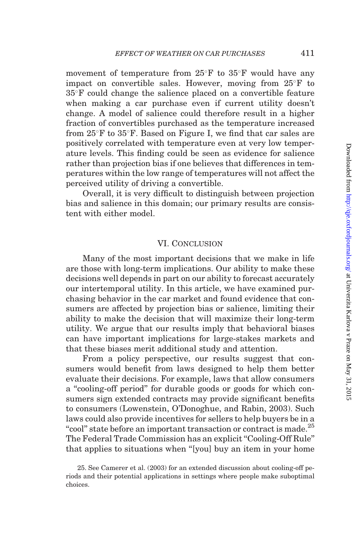movement of temperature from  $25^{\circ}$ F to  $35^{\circ}$ F would have any impact on convertible sales. However, moving from 25°F to 35-F could change the salience placed on a convertible feature when making a car purchase even if current utility doesn't change. A model of salience could therefore result in a higher fraction of convertibles purchased as the temperature increased from  $25^{\circ}$ F to  $35^{\circ}$ F. Based on [Figure I](#page-10-0), we find that car sales are positively correlated with temperature even at very low temperature levels. This finding could be seen as evidence for salience rather than projection bias if one believes that differences in temperatures within the low range of temperatures will not affect the perceived utility of driving a convertible.

Overall, it is very difficult to distinguish between projection bias and salience in this domain; our primary results are consistent with either model.

### VI. Conclusion

Many of the most important decisions that we make in life are those with long-term implications. Our ability to make these decisions well depends in part on our ability to forecast accurately our intertemporal utility. In this article, we have examined purchasing behavior in the car market and found evidence that consumers are affected by projection bias or salience, limiting their ability to make the decision that will maximize their long-term utility. We argue that our results imply that behavioral biases can have important implications for large-stakes markets and that these biases merit additional study and attention.

From a policy perspective, our results suggest that consumers would benefit from laws designed to help them better evaluate their decisions. For example, laws that allow consumers a ''cooling-off period'' for durable goods or goods for which consumers sign extended contracts may provide significant benefits to consumers [\(Lowenstein, O'Donoghue, and Rabin, 2003](#page-42-0)). Such laws could also provide incentives for sellers to help buyers be in a "cool" state before an important transaction or contract is made.<sup>25</sup> The Federal Trade Commission has an explicit ''Cooling-Off Rule'' that applies to situations when ''[you] buy an item in your home

<sup>25.</sup> See [Camerer et al. \(2003\)](#page-42-0) for an extended discussion about cooling-off periods and their potential applications in settings where people make suboptimal choices.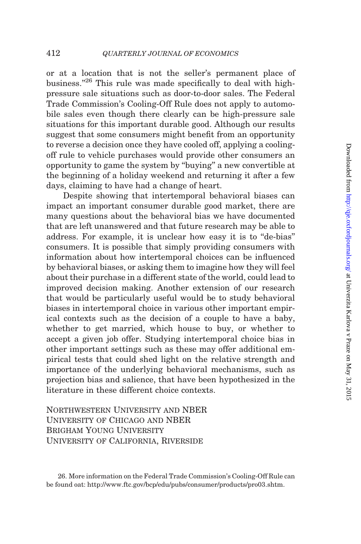or at a location that is not the seller's permanent place of business.''<sup>26</sup> This rule was made specifically to deal with highpressure sale situations such as door-to-door sales. The Federal Trade Commission's Cooling-Off Rule does not apply to automobile sales even though there clearly can be high-pressure sale situations for this important durable good. Although our results suggest that some consumers might benefit from an opportunity to reverse a decision once they have cooled off, applying a coolingoff rule to vehicle purchases would provide other consumers an opportunity to game the system by ''buying'' a new convertible at the beginning of a holiday weekend and returning it after a few days, claiming to have had a change of heart.

Despite showing that intertemporal behavioral biases can impact an important consumer durable good market, there are many questions about the behavioral bias we have documented that are left unanswered and that future research may be able to address. For example, it is unclear how easy it is to ''de-bias'' consumers. It is possible that simply providing consumers with information about how intertemporal choices can be influenced by behavioral biases, or asking them to imagine how they will feel about their purchase in a different state of the world, could lead to improved decision making. Another extension of our research that would be particularly useful would be to study behavioral biases in intertemporal choice in various other important empirical contexts such as the decision of a couple to have a baby, whether to get married, which house to buy, or whether to accept a given job offer. Studying intertemporal choice bias in other important settings such as these may offer additional empirical tests that could shed light on the relative strength and importance of the underlying behavioral mechanisms, such as projection bias and salience, that have been hypothesized in the literature in these different choice contexts.

Northwestern University and NBER University of Chicago and NBER Brigham Young University University of California, Riverside

<sup>26.</sup> More information on the Federal Trade Commission's Cooling-Off Rule can be found oat: [http://www.ftc.gov/bcp/edu/pubs/consumer/products/pro03.shtm.](http://www.ftc.gov/bcp/edu/pubs/consumer/products/pro03.shtm)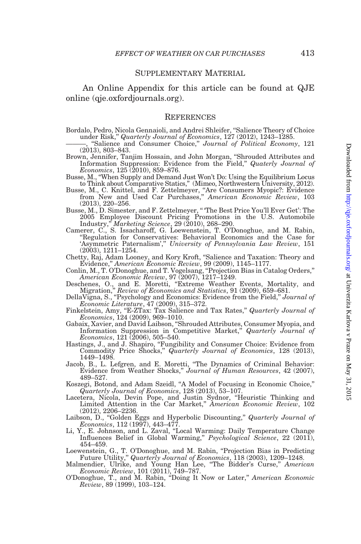#### Supplementary Material

<span id="page-42-0"></span>An [Online Appendix](http://qje.oxfordjournals.org/lookup/suppl/doi:10.1093/qje/qju033/-/DC1) for this article can be found at QJE online (qje.oxfordjournals.org).

#### **REFERENCES**

- Bordalo, Pedro, Nicola Gennaioli, and Andrei Shleifer, ''Salience Theory of Choice under Risk,'' Quarterly Journal of Economics, 127 (2012), 1243–1285.
- "Salience and Consumer Choice," Journal of Political Economy, 121 (2013), 803–843.
- Brown, Jennifer, Tanjim Hossain, and John Morgan, ''Shrouded Attributes and Information Suppression: Evidence from the Field,'' Quaterly Journal of Economics, 125 (2010), 859–876.
- Busse, M., ''When Supply and Demand Just Won't Do: Using the Equilibrium Locus to Think about Comparative Statics,'' (Mimeo, Northwestern University, 2012).
- Busse, M., C. Knittel, and F. Zettelmeyer, "Are Consumers Myopic?: Evidence from New and Used Car Purchases," American Economic Review, 103 (2013), 220–256.
- Busse, M., D. Simester, and F. Zettelmeyer, '' 'The Best Price You'll Ever Get': The 2005 Employee Discount Pricing Promotions in the U.S. Automobile
- Industry," *Marketing Science*, 29 (2010), 268–290.<br>Camerer, C., S. Issacharoff, G. Loewenstein, T. O'Donoghue, and M. Rabin, ''Regulation for Conservatives: Behavioral Economics and the Case for 'Asymmetric Paternalism','' University of Pennsylvania Law Review, 151 (2003), 1211–1254.
- Chetty, Raj, Adam Looney, and Kory Kroft, ''Salience and Taxation: Theory and Evidence,'' American Economic Review, 99 (2009), 1145–1177.
- Conlin, M., T. O'Donoghue, and T. Vogelsang, ''Projection Bias in Catalog Orders,'' American Economic Review, 97 (2007), 1217–1249.
- Deschenes, O., and E. Moretti, "Extreme Weather Events, Mortality, and<br>Migration," *Review of Economics and Statistics*, 91 (2009), 659–681.<br>DellaVigna, S., "Psychology and Economics: Evidence from the Field," Journal of
- Economic Literature, 47 (2009), 315–372.
- Finkelstein, Amy, "E-ZTax: Tax Salience and Tax Rates," Quarterly Journal of Economics, 124 (2009), 969–1010.
- Gabaix, Xavier, and David Laibson, ''Shrouded Attributes, Consumer Myopia, and Information Suppression in Competitive Market," Quarterly Journal of
- Economics, 121 (2006), 505–540. Hastings, J., and J. Shapiro, ''Fungibility and Consumer Choice: Evidence from Commodity Price Shocks," Quarterly Journal of Economics, 128 (2013), 1449–1498.
- Jacob, B., L. Lefgren, and E. Moretti, ''The Dynamics of Criminal Behavior: Evidence from Weather Shocks,'' Journal of Human Resources, 42 (2007), 489–527.
- Koszegi, Botond, and Adam Szeidl, ''A Model of Focusing in Economic Choice,'' Quarterly Journal of Economics, 128 (2013), 53–107.
- Lacetera, Nicola, Devin Pope, and Justin Sydnor, ''Heuristic Thinking and Limited Attention in the Car Market,'' American Economic Review, 102
- (2012), 2206–2236. Laibson, D., ''Golden Eggs and Hyperbolic Discounting,'' Quarterly Journal of
- Economics, 112 (1997), 443–477. Li, Y., E. Johnson, and L. Zaval, ''Local Warming: Daily Temperature Change Influences Belief in Global Warming,'' Psychological Science, 22 (2011), 454–459.
- Loewenstein, G., T. O'Donoghue, and M. Rabin, "Projection Bias in Predicting<br>Future Utility," Quarterly Journal of Economics, 118 (2003), 1209–1248.
- Malmendier, Ulrike, and Young Han Lee, "The Bidder's Curse," American<br>Economic Review, 101 (2011), 749–787.<br>O'Donoghue, T., and M. Rabin, "Doing It Now or Later," American Economic
- Review, 89 (1999), 103–124.